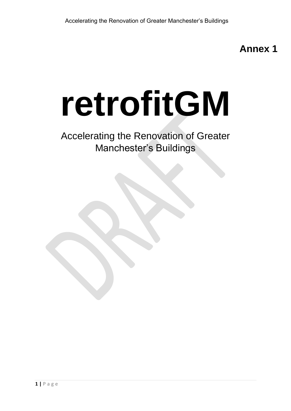**Annex 1**

# **retrofitGM**

# Accelerating the Renovation of Greater Manchester's Buildings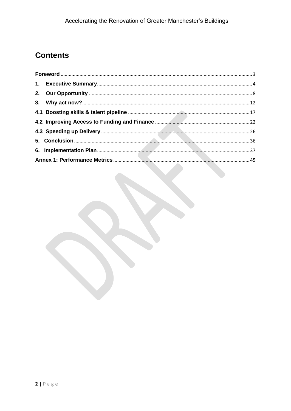## **Contents**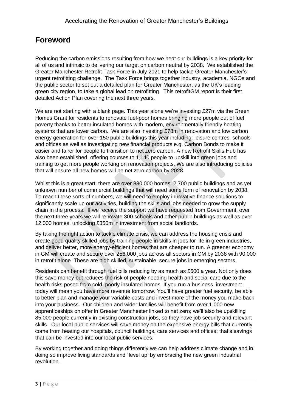## <span id="page-2-0"></span>**Foreword**

Reducing the carbon emissions resulting from how we heat our buildings is a key priority for all of us and intrinsic to delivering our target on carbon neutral by 2038. We established the Greater Manchester Retrofit Task Force in July 2021 to help tackle Greater Manchester's urgent retrofitting challenge. The Task Force brings together industry, academia, NGOs and the public sector to set out a detailed plan for Greater Manchester, as the UK's leading green city region, to take a global lead on retrofitting. This retrofitGM report is their first detailed Action Plan covering the next three years.

We are not starting with a blank page. This year alone we're investing £27m via the Green Homes Grant for residents to renovate fuel-poor homes bringing more people out of fuel poverty thanks to better insulated homes with modern, environmentally friendly heating systems that are lower carbon. We are also investing £78m in renovation and low carbon energy generation for over 150 public buildings this year including: leisure centres, schools and offices as well as investigating new financial products e.g. Carbon Bonds to make it easier and fairer for people to transition to net zero carbon. A new Retrofit Skills Hub has also been established, offering courses to 1,140 people to upskill into green jobs and training to get more people working on renovation projects. We are also introducing policies that will ensure all new homes will be net zero carbon by 2028.

Whilst this is a great start, there are over 880,000 homes, 2,700 public buildings and as yet unknown number of commercial buildings that will need some form of renovation by 2038. To reach these sorts of numbers, we will need to employ innovative finance solutions to significantly scale up our activities, building the skills and jobs needed to grow the supply chain in the process. If we receive the support we have requested from Government, over the next three years we will renovate 300 schools and other public buildings as well as over 12,000 homes, unlocking £350m in investment from social landlords.

By taking the right action to tackle climate crisis, we can address the housing crisis and create good quality skilled jobs by training people in skills in jobs for life in green industries, and deliver better, more energy-efficient homes that are cheaper to run. A greener economy in GM will create and secure over 256,000 jobs across all sectors in GM by 2038 with 90,000 in retrofit alone. These are high skilled, sustainable, secure jobs in emerging sectors.

Residents can benefit through fuel bills reducing by as much as £600 a year. Not only does this save money but reduces the risk of people needing health and social care due to the health risks posed from cold, poorly insulated homes. If you run a business, investment today will mean you have more revenue tomorrow. You'll have greater fuel security, be able to better plan and manage your variable costs and invest more of the money you make back into your business. Our children and wider families will benefit from over 1,000 new apprenticeships on offer in Greater Manchester linked to net zero; we'll also be upskilling 85,000 people currently in existing construction jobs, so they have job security and relevant skills. Our local public services will save money on the expensive energy bills that currently come from heating our hospitals, council buildings, care services and offices; that's savings that can be invested into our local public services.

By working together and doing things differently we can help address climate change and in doing so improve living standards and `level up' by embracing the new green industrial revolution.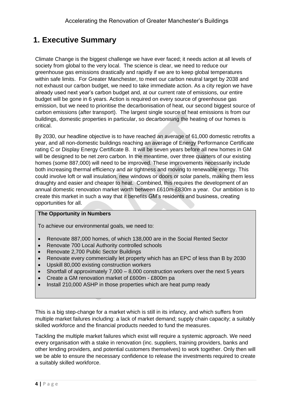## <span id="page-3-0"></span>**1. Executive Summary**

Climate Change is the biggest challenge we have ever faced; it needs action at all levels of society from global to the very local. The science is clear, we need to reduce our greenhouse gas emissions drastically and rapidly if we are to keep global temperatures within safe limits. For Greater Manchester, to meet our carbon neutral target by 2038 and not exhaust our carbon budget, we need to take immediate action. As a city region we have already used next year's carbon budget and, at our current rate of emissions, our entire budget will be gone in 6 years. Action is required on every source of greenhouse gas emission, but we need to prioritise the decarbonisation of heat, our second biggest source of carbon emissions (after transport). The largest single source of heat emissions is from our buildings, domestic properties in particular, so decarbonising the heating of our homes is critical.

By 2030, our headline objective is to have reached an average of 61,000 domestic retrofits a year, and all non-domestic buildings reaching an average of Energy Performance Certificate rating C or Display Energy Certificate B. It will be seven years before all new homes in GM will be designed to be net zero carbon. In the meantime, over three quarters of our existing homes (some 887,000) will need to be improved. These improvements necessarily include both increasing thermal efficiency and air tightness and moving to renewable energy. This could involve loft or wall insulation, new windows or doors or solar panels, making them less draughty and easier and cheaper to heat. Combined, this requires the development of an annual domestic renovation market worth between £610m-£830m a year. Our ambition is to create this market in such a way that it benefits GM's residents and business, creating opportunities for all.

#### **The Opportunity in Numbers**

To achieve our environmental goals, we need to:

- Renovate 887,000 homes, of which 138,000 are in the Social Rented Sector
- Renovate 700 Local Authority controlled schools
- Renovate 2,700 Public Sector Buildings
- Renovate every commercially let property which has an EPC of less than B by 2030
- Upskill 80,000 existing construction workers
- Shortfall of approximately 7,000 8,000 construction workers over the next 5 years
- Create a GM renovation market of £600m £800m pa
- Install 210,000 ASHP in those properties which are heat pump ready

This is a big step-change for a market which is still in its infancy, and which suffers from multiple market failures including: a lack of market demand; supply chain capacity; a suitably skilled workforce and the financial products needed to fund the measures.

Tackling the multiple market failures which exist will require a systemic approach. We need every organisation with a stake in renovation (inc. suppliers, training providers, banks and other lending providers, and potential customers themselves) to work together. Only then will we be able to ensure the necessary confidence to release the investments required to create a suitably skilled workforce.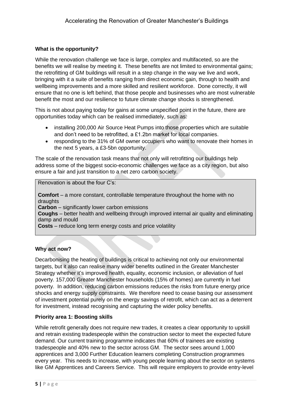#### **What is the opportunity?**

While the renovation challenge we face is large, complex and multifaceted, so are the benefits we will realise by meeting it. These benefits are not limited to environmental gains; the retrofitting of GM buildings will result in a step change in the way we live and work, bringing with it a suite of benefits ranging from direct economic gain, through to health and wellbeing improvements and a more skilled and resilient workforce. Done correctly, it will ensure that no one is left behind, that those people and businesses who are most vulnerable benefit the most and our resilience to future climate change shocks is strengthened.

This is not about paying today for gains at some unspecified point in the future, there are opportunities today which can be realised immediately, such as:

- installing 200,000 Air Source Heat Pumps into those properties which are suitable and don't need to be retrofitted, a £1.2bn market for local companies.
- responding to the 31% of GM owner occupiers who want to renovate their homes in the next 5 years, a £3-5bn opportunity.

The scale of the renovation task means that not only will retrofitting our buildings help address some of the biggest socio-economic challenges we face as a city region, but also ensure a fair and just transition to a net zero carbon society.

#### Renovation is about the four C's:

**Comfort** – a more constant, controllable temperature throughout the home with no draughts

**Carbon** – significantly lower carbon emissions

**Coughs** – better health and wellbeing through improved internal air quality and eliminating damp and mould

**Costs** – reduce long term energy costs and price volatility

#### **Why act now?**

Decarbonising the heating of buildings is critical to achieving not only our environmental targets, but it also can realise many wider benefits outlined in the Greater Manchester Strategy whether it's improved health, equality, economic inclusion, or alleviation of fuel poverty. 157,000 Greater Manchester households (15% of homes) are currently in fuel poverty. In addition, reducing carbon emissions reduces the risks from future energy price shocks and energy supply constraints. We therefore need to cease basing our assessment of investment potential purely on the energy savings of retrofit, which can act as a deterrent for investment, instead recognising and capturing the wider policy benefits.

#### **Priority area 1: Boosting skills**

While retrofit generally does not require new trades, it creates a clear opportunity to upskill and retrain existing tradespeople within the construction sector to meet the expected future demand. Our current training programme indicates that 60% of trainees are existing tradespeople and 40% new to the sector across GM. The sector sees around 1,000 apprentices and 3,000 Further Education learners completing Construction programmes every year. This needs to increase, with young people learning about the sector on systems like GM Apprentices and Careers Service. This will require employers to provide entry-level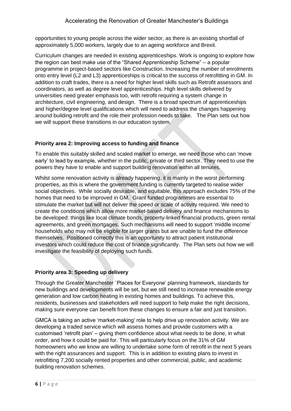opportunities to young people across the wider sector, as there is an existing shortfall of approximately 5,000 workers, largely due to an ageing workforce and Brexit.

Curriculum changes are needed in existing apprenticeships. Work is ongoing to explore how the region can best make use of the "Shared Apprenticeship Scheme" – a popular programme in project-based sectors like Construction. Increasing the number of enrolments onto entry level (L2 and L3) apprenticeships is critical to the success of retrofitting in GM. In addition to craft trades, there is a need for higher level skills such as Retrofit assessors and coordinators, as well as degree level apprenticeships. High level skills delivered by universities need greater emphasis too, with retrofit requiring a system change in architecture, civil engineering, and design. There is a broad spectrum of apprenticeships and higher/degree level qualifications which will need to address the changes happening around building retrofit and the role their profession needs to take. The Plan sets out how we will support these transitions in our education system.

#### **Priority area 2: Improving access to funding and finance**

To enable this suitably skilled and scaled market to emerge, we need those who can 'move early' to lead by example, whether in the public, private or third sector. They need to use the powers they have to enable and support building renovation within all tenures.

Whilst some renovation activity is already happening, it is mainly in the worst performing properties, as this is where the government funding is currently targeted to realise wider social objectives. While socially desirable, and equitable, this approach excludes 75% of the homes that need to be improved in GM. Grant funded programmes are essential to stimulate the market but will not deliver the speed or scale of activity required. We need to create the conditions which allow more market-based delivery and finance mechanisms to be developed: things like local climate bonds, property-linked financial products, green rental agreements, and green mortgages. Such mechanisms will need to support 'middle income' households who may not be eligible for larger grants but are unable to fund the difference themselves. Positioned correctly this is an opportunity to attract patient institutional investors which could reduce the cost of finance significantly. The Plan sets out how we will investigate the feasibility of deploying such funds.

#### **Priority area 3: Speeding up delivery**

Through the Greater Manchester `Places for Everyone' planning framework, standards for new buildings and developments will be set, but we still need to increase renewable energy generation and low carbon heating in existing homes and buildings. To achieve this, residents, businesses and stakeholders will need support to help make the right decisions, making sure everyone can benefit from these changes to ensure a fair and just transition.

GMCA is taking an active 'market-making' role to help drive up renovation activity. We are developing a traded service which will assess homes and provide customers with a customised 'retrofit plan' – giving them confidence about what needs to be done, in what order, and how it could be paid for. This will particularly focus on the 31% of GM homeowners who we know are willing to undertake some form of retrofit in the next 5 years with the right assurances and support. This is in addition to existing plans to invest in retrofitting 7,200 socially rented properties and other commercial, public, and academic building renovation schemes.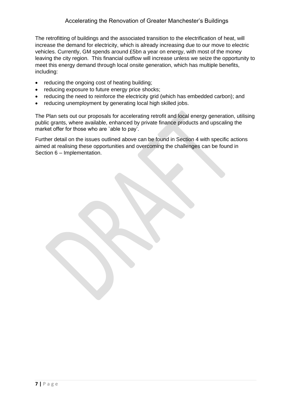The retrofitting of buildings and the associated transition to the electrification of heat, will increase the demand for electricity, which is already increasing due to our move to electric vehicles. Currently, GM spends around £5bn a year on energy, with most of the money leaving the city region. This financial outflow will increase unless we seize the opportunity to meet this energy demand through local onsite generation, which has multiple benefits, including:

- reducing the ongoing cost of heating building;
- reducing exposure to future energy price shocks;
- reducing the need to reinforce the electricity grid (which has embedded carbon); and
- reducing unemployment by generating local high skilled jobs.

The Plan sets out our proposals for accelerating retrofit and local energy generation, utilising public grants, where available, enhanced by private finance products and upscaling the market offer for those who are `able to pay'.

Further detail on the issues outlined above can be found in Section 4 with specific actions aimed at realising these opportunities and overcoming the challenges can be found in Section 6 – Implementation.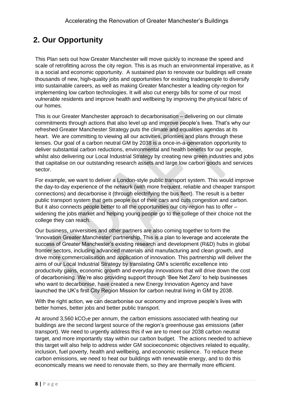## <span id="page-7-0"></span>**2. Our Opportunity**

This Plan sets out how Greater Manchester will move quickly to increase the speed and scale of retrofitting across the city region. This is as much an environmental imperative, as it is a social and economic opportunity. A sustained plan to renovate our buildings will create thousands of new, high-quality jobs and opportunities for existing tradespeople to diversify into sustainable careers, as well as making Greater Manchester a leading city-region for implementing low carbon technologies. It will also cut energy bills for some of our most vulnerable residents and improve health and wellbeing by improving the physical fabric of our homes.

This is our Greater Manchester approach to decarbonisation – delivering on our climate commitments through actions that also level up and improve people's lives. That's why our refreshed Greater Manchester Strategy puts the climate and equalities agendas at its heart. We are committing to viewing all our activities, priorities and plans through these lenses. Our goal of a carbon neutral GM by 2038 is a once-in-a-generation opportunity to deliver substantial carbon reductions, environmental and health benefits for our people, whilst also delivering our Local Industrial Strategy by creating new green industries and jobs that capitalise on our outstanding research assets and large low carbon goods and services sector.

For example, we want to deliver a London-style public transport system. This would improve the day-to-day experience of the network (with more frequent, reliable and cheaper transport connections) and decarbonise it (through electrifying the bus fleet). The result is a better public transport system that gets people out of their cars and cuts congestion and carbon. But it also connects people better to all the opportunities our city-region has to offer – widening the jobs market and helping young people go to the college of their choice not the college they can reach.

Our business, universities and other partners are also coming together to form the 'Innovation Greater Manchester' partnership. This is a plan to leverage and accelerate the success of Greater Manchester's existing research and development (R&D) hubs in global frontier sectors, including advanced materials and manufacturing and clean growth, and drive more commercialisation and application of innovation. This partnership will deliver the aims of our Local Industrial Strategy by translating GM's scientific excellence into productivity gains, economic growth and everyday innovations that will drive down the cost of decarbonising. We're also providing support through 'Bee Net Zero' to help businesses who want to decarbonise, have created a new Energy Innovation Agency and have launched the UK's first City Region Mission for carbon neutral living in GM by 2038.

With the right action, we can decarbonise our economy and improve people's lives with better homes, better jobs and better public transport.

At around 3,560 kCO<sub>2</sub>e per annum, the carbon emissions associated with heating our buildings are the second largest source of the region's greenhouse gas emissions (after transport). We need to urgently address this if we are to meet our 2038 carbon neutral target, and more importantly stay within our carbon budget. The actions needed to achieve this target will also help to address wider GM socioeconomic objectives related to equality, inclusion, fuel poverty, health and wellbeing, and economic resilience. To reduce these carbon emissions, we need to heat our buildings with renewable energy, and to do this economically means we need to renovate them, so they are thermally more efficient.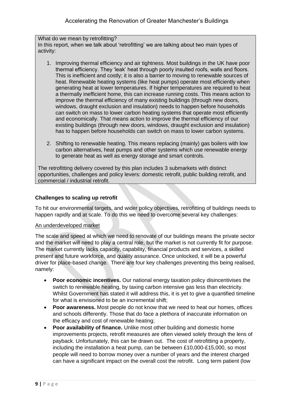What do we mean by retrofitting? In this report, when we talk about 'retrofitting' we are talking about two main types of activity:

- 1. Improving thermal efficiency and air tightness. Most buildings in the UK have poor thermal efficiency. They 'leak' heat through poorly insulted roofs, walls and floors. This is inefficient and costly; it is also a barrier to moving to renewable sources of heat. Renewable heating systems (like heat pumps) operate most efficiently when generating heat at lower temperatures. If higher temperatures are required to heat a thermally inefficient home, this can increase running costs. This means action to improve the thermal efficiency of many existing buildings (through new doors, windows, draught exclusion and insulation) needs to happen before households can switch on mass to lower carbon heating systems that operate most efficiently and economically. That means action to improve the thermal efficiency of our existing buildings (through new doors, windows, draught exclusion and insulation) has to happen before households can switch on mass to lower carbon systems.
- 2. Shifting to renewable heating. This means replacing (mainly) gas boilers with low carbon alternatives, heat pumps and other systems which use renewable energy to generate heat as well as energy storage and smart controls.

The retrofitting delivery covered by this plan includes 3 submarkets with distinct opportunities, challenges and policy levers: domestic retrofit, public building retrofit, and commercial / industrial retrofit.

#### **Challenges to scaling up retrofit**

To hit our environmental targets, and wider policy objectives, retrofitting of buildings needs to happen rapidly and at scale. To do this we need to overcome several key challenges:

#### An underdeveloped market

The scale and speed at which we need to renovate of our buildings means the private sector and the market will need to play a central role, but the market is not currently fit for purpose. The market currently lacks capacity, capability, financial products and services, a skilled present and future workforce, and quality assurance. Once unlocked, it will be a powerful driver for place-based change. There are four key challenges preventing this being realised, namely:

- **Poor economic incentives.** Our national energy taxation policy disincentivises the switch to renewable heating, by taxing carbon intensive gas less than electricity. Whilst Government has stated it will address this, it is yet to give a quantified timeline for what is envisioned to be an incremental shift;
- **Poor awareness.** Most people do not know that we need to heat our homes, offices and schools differently. Those that do face a plethora of inaccurate information on the efficacy and cost of renewable heating;
- **Poor availability of finance.** Unlike most other building and domestic home improvements projects, retrofit measures are often viewed solely through the lens of payback. Unfortunately, this can be drawn out. The cost of retrofitting a property, including the installation a heat pump, can be between £10,000-£15,000, so most people will need to borrow money over a number of years and the interest charged can have a significant impact on the overall cost the retrofit. Long term patient (low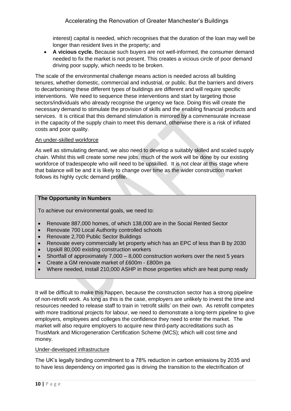interest) capital is needed, which recognises that the duration of the loan may well be longer than resident lives in the property; and

• **A vicious cycle.** Because such buyers are not well-informed, the consumer demand needed to fix the market is not present. This creates a vicious circle of poor demand driving poor supply, which needs to be broken.

The scale of the environmental challenge means action is needed across all building tenures, whether domestic, commercial and industrial, or public. But the barriers and drivers to decarbonising these different types of buildings are different and will require specific interventions. We need to sequence these interventions and start by targeting those sectors/individuals who already recognise the urgency we face. Doing this will create the necessary demand to stimulate the provision of skills and the enabling financial products and services. It is critical that this demand stimulation is mirrored by a commensurate increase in the capacity of the supply chain to meet this demand, otherwise there is a risk of inflated costs and poor quality.

#### An under-skilled workforce

As well as stimulating demand, we also need to develop a suitably skilled and scaled supply chain. Whilst this will create some new jobs, much of the work will be done by our existing workforce of tradespeople who will need to be upskilled. It is not clear at this stage where that balance will be and it is likely to change over time as the wider construction market follows its highly cyclic demand profile.

#### **The Opportunity in Numbers**

To achieve our environmental goals, we need to:

- Renovate 887,000 homes, of which 138,000 are in the Social Rented Sector
- Renovate 700 Local Authority controlled schools
- Renovate 2,700 Public Sector Buildings
- Renovate every commercially let property which has an EPC of less than B by 2030
- Upskill 80,000 existing construction workers
- Shortfall of approximately 7,000 8,000 construction workers over the next 5 years
- Create a GM renovate market of £600m £800m pa
- Where needed, install 210,000 ASHP in those properties which are heat pump ready

It will be difficult to make this happen, because the construction sector has a strong pipeline of non-retrofit work. As long as this is the case, employers are unlikely to invest the time and resources needed to release staff to train in 'retrofit skills' on their own. As retrofit competes with more traditional projects for labour, we need to demonstrate a long-term pipeline to give employers, employees and colleges the confidence they need to enter the market. The market will also require employers to acquire new third-party accreditations such as TrustMark and Microgeneration Certification Scheme (MCS); which will cost time and money.

#### Under-developed infrastructure

The UK's legally binding commitment to a 78% reduction in carbon emissions by 2035 and to have less dependency on imported gas is driving the transition to the electrification of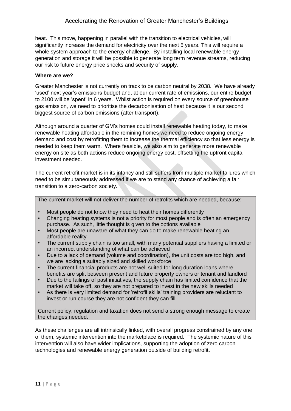heat. This move, happening in parallel with the transition to electrical vehicles, will significantly increase the demand for electricity over the next 5 years. This will require a whole system approach to the energy challenge. By installing local renewable energy generation and storage it will be possible to generate long term revenue streams, reducing our risk to future energy price shocks and security of supply.

#### **Where are we?**

Greater Manchester is not currently on track to be carbon neutral by 2038. We have already 'used' next year's emissions budget and, at our current rate of emissions, our entire budget to 2100 will be 'spent' in 6 years. Whilst action is required on every source of greenhouse gas emission, we need to prioritise the decarbonisation of heat because it is our second biggest source of carbon emissions (after transport).

Although around a quarter of GM's homes could install renewable heating today, to make renewable heating affordable in the remining homes we need to reduce ongoing energy demand and cost by retrofitting them to increase the thermal efficiency so that less energy is needed to keep them warm. Where feasible, we also aim to generate more renewable energy on site as both actions reduce ongoing energy cost, offsetting the upfront capital investment needed.

The current retrofit market is in its infancy and still suffers from multiple market failures which need to be simultaneously addressed if we are to stand any chance of achieving a fair transition to a zero-carbon society.

The current market will not deliver the number of retrofits which are needed, because:

- Most people do not know they need to heat their homes differently
- Changing heating systems is not a priority for most people and is often an emergency purchase. As such, little thought is given to the options available
- Most people are unaware of what they can do to make renewable heating an affordable reality
- The current supply chain is too small, with many potential suppliers having a limited or an incorrect understanding of what can be achieved
- Due to a lack of demand (volume and coordination), the unit costs are too high, and we are lacking a suitably sized and skilled workforce
- The current financial products are not well suited for long duration loans where benefits are split between present and future property owners or tenant and landlord
- Due to the failings of past initiatives, the supply chain has limited confidence that the market will take off, so they are not prepared to invest in the new skills needed
- As there is very limited demand for 'retrofit skills' training providers are reluctant to invest or run course they are not confident they can fill

Current policy, regulation and taxation does not send a strong enough message to create the changes needed.

As these challenges are all intrinsically linked, with overall progress constrained by any one of them, systemic intervention into the marketplace is required. The systemic nature of this intervention will also have wider implications, supporting the adoption of zero carbon technologies and renewable energy generation outside of building retrofit.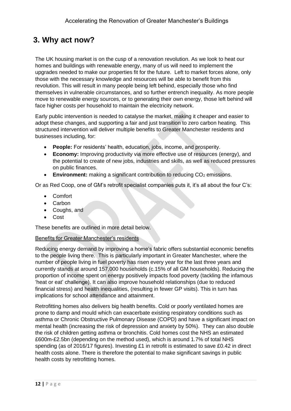## <span id="page-11-0"></span>**3. Why act now?**

The UK housing market is on the cusp of a renovation revolution. As we look to heat our homes and buildings with renewable energy, many of us will need to implement the upgrades needed to make our properties fit for the future. Left to market forces alone, only those with the necessary knowledge and resources will be able to benefit from this revolution. This will result in many people being left behind, especially those who find themselves in vulnerable circumstances, and so further entrench inequality. As more people move to renewable energy sources, or to generating their own energy, those left behind will face higher costs per household to maintain the electricity network.

Early public intervention is needed to catalyse the market, making it cheaper and easier to adopt these changes, and supporting a fair and just transition to zero carbon heating. This structured intervention will deliver multiple benefits to Greater Manchester residents and businesses including, for:

- **People:** For residents' health, education, jobs, income, and prosperity.
- **Economy:** Improving productivity via more effective use of resources (energy), and the potential to create of new jobs, industries and skills, as well as reduced pressures on public finances.
- **Environment:** making a significant contribution to reducing CO<sub>2</sub> emissions.

Or as Red Coop, one of GM's retrofit specialist companies puts it, it's all about the four C's:

- Comfort
- Carbon
- Coughs, and
- Cost

These benefits are outlined in more detail below.

#### Benefits for Greater Manchester's residents

Reducing energy demand by improving a home's fabric offers substantial economic benefits to the people living there. This is particularly important in Greater Manchester, where the number of people living in fuel poverty has risen every year for the last three years and currently stands at around 157,000 households (c.15% of all GM households). Reducing the proportion of income spent on energy positively impacts food poverty (tackling the infamous 'heat or eat' challenge). It can also improve household relationships (due to reduced financial stress) and health inequalities, (resulting in fewer GP visits). This in turn has implications for school attendance and attainment.

Retrofitting homes also delivers big health benefits. Cold or poorly ventilated homes are prone to damp and mould which can exacerbate existing respiratory conditions such as asthma or Chronic Obstructive Pulmonary Disease (COPD) and have a significant impact on mental health (increasing the risk of depression and anxiety by 50%). They can also double the risk of children getting asthma or bronchitis. Cold homes cost the NHS an estimated £600m-£2.5bn (depending on the method used), which is around 1.7% of total NHS spending (as of 2016/17 figures). Investing £1 in retrofit is estimated to save £0.42 in direct health costs alone. There is therefore the potential to make significant savings in public health costs by retrofitting homes.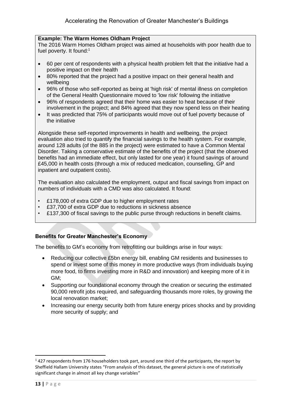#### **Example: The Warm Homes Oldham Project**

The 2016 Warm Homes Oldham project was aimed at households with poor health due to fuel poverty. It found:<sup>1</sup>

- 60 per cent of respondents with a physical health problem felt that the initiative had a positive impact on their health
- 80% reported that the project had a positive impact on their general health and wellbeing
- 96% of those who self-reported as being at 'high risk' of mental illness on completion of the General Health Questionnaire moved to 'low risk' following the initiative
- 96% of respondents agreed that their home was easier to heat because of their involvement in the project; and 84% agreed that they now spend less on their heating
- It was predicted that 75% of participants would move out of fuel poverty because of the initiative

Alongside these self-reported improvements in health and wellbeing, the project evaluation also tried to quantify the financial savings to the health system. For example, around 128 adults (of the 885 in the project) were estimated to have a Common Mental Disorder. Taking a conservative estimate of the benefits of the project (that the observed benefits had an immediate effect, but only lasted for one year) it found savings of around £45,000 in health costs (through a mix of reduced medication, counselling, GP and inpatient and outpatient costs).

The evaluation also calculated the employment, output and fiscal savings from impact on numbers of individuals with a CMD was also calculated. It found:

- £178,000 of extra GDP due to higher employment rates
- £37,700 of extra GDP due to reductions in sickness absence
- £137,300 of fiscal savings to the public purse through reductions in benefit claims.

#### **Benefits for Greater Manchester's Economy**

The benefits to GM's economy from retrofitting our buildings arise in four ways:

- Reducing our collective £5bn energy bill, enabling GM residents and businesses to spend or invest some of this money in more productive ways (from individuals buying more food, to firms investing more in R&D and innovation) and keeping more of it in GM;
- Supporting our foundational economy through the creation or securing the estimated 90,000 retrofit jobs required, and safeguarding thousands more roles, by growing the local renovation market;
- Increasing our energy security both from future energy prices shocks and by providing more security of supply; and

 $1427$  respondents from 176 householders took part, around one third of the participants, the report by Sheffield Hallam University states "From analysis of this dataset, the general picture is one of statistically significant change in almost all key change variables"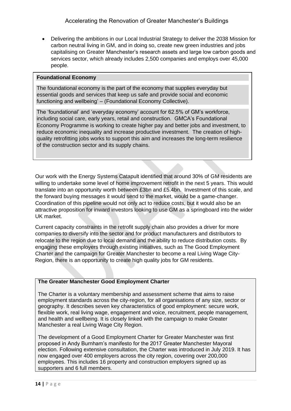• Delivering the ambitions in our Local Industrial Strategy to deliver the 2038 Mission for carbon neutral living in GM, and in doing so, create new green industries and jobs capitalising on Greater Manchester's research assets and large low carbon goods and services sector, which already includes 2,500 companies and employs over 45,000 people.

#### **Foundational Economy**

The foundational economy is the part of the economy that supplies everyday but essential goods and services that keep us safe and provide social and economic functioning and wellbeing' – (Foundational Economy Collective).

The 'foundational' and 'everyday economy' account for 62.5% of GM's workforce, including social care, early years, retail and construction. GMCA's Foundational Economy Programme is working to create higher pay and better jobs and investment, to reduce economic inequality and increase productive investment. The creation of highquality retrofitting jobs works to support this aim and increases the long-term resilience of the construction sector and its supply chains.

Our work with the Energy Systems Catapult identified that around 30% of GM residents are willing to undertake some level of home improvement retrofit in the next 5 years. This would translate into an opportunity worth between £3bn and £5.4bn. Investment of this scale, and the forward buying messages it would send to the market, would be a game-changer. Coordination of this pipeline would not only act to reduce costs, but it would also be an attractive proposition for inward investors looking to use GM as a springboard into the wider UK market.

Current capacity constraints in the retrofit supply chain also provides a driver for more companies to diversify into the sector and for product manufacturers and distributors to relocate to the region due to local demand and the ability to reduce distribution costs. By engaging these employers through existing initiatives, such as The Good Employment Charter and the campaign for Greater Manchester to become a real Living Wage City-Region, there is an opportunity to create high quality jobs for GM residents.

#### **The Greater Manchester Good Employment Charter**

The Charter is a voluntary membership and assessment scheme that aims to raise employment standards across the city-region, for all organisations of any size, sector or geography. It describes seven key characteristics of good employment: secure work, flexible work, real living wage, engagement and voice, recruitment, people management, and health and wellbeing. It is closely linked with the campaign to make Greater Manchester a real Living Wage City Region.

The development of a Good Employment Charter for Greater Manchester was first proposed in Andy Burnham's manifesto for the 2017 Greater Manchester Mayoral election. Following extensive consultation, the Charter was introduced in July 2019. It has now engaged over 400 employers across the city region, covering over 200,000 employees. This includes 16 property and construction employers signed up as supporters and 6 full members.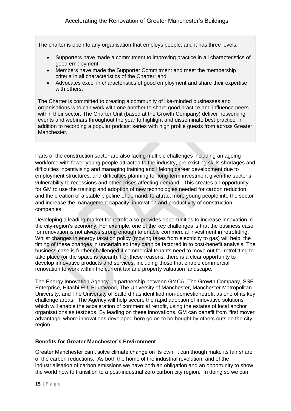The charter is open to any organisation that employs people, and it has three levels:

- Supporters have made a commitment to improving practice in all characteristics of good employment.
- Members have made the Supporter Commitment and meet the membership criteria in all characteristics of the Charter; and
- Advocates excel in characteristics of good employment and share their expertise with others.

The Charter is committed to creating a community of like-minded businesses and organisations who can work with one another to share good practice and influence peers within their sector. The Charter Unit (based at the Growth Company) deliver networking events and webinars throughout the year to highlight and disseminate best practice, in addition to recording a popular podcast series with high profile guests from across Greater Manchester.

Parts of the construction sector are also facing multiple challenges including an ageing workforce with fewer young people attracted to the industry, pre-existing skills shortages and difficulties incentivising and managing training and lifelong career development due to employment structures, and difficulties planning for long-term investment given the sector's vulnerability to recessions and other crises affecting demand. This creates an opportunity for GM to use the training and adoption of new technologies needed for carbon reduction, and the creation of a stable pipeline of demand, to attract more young people into the sector and increase the management capacity, innovation and productivity of construction companies.

Developing a leading market for retrofit also provides opportunities to increase innovation in the city-region's economy. For example, one of the key challenges is that the business case for renovation is not always strong enough to enable commercial investment in retrofitting. Whilst changes in energy taxation policy (moving taxes from electricity to gas) will help, the timing of these changes in uncertain so they can't be factored in to cost-benefit analysis. The business case is further challenged if commercial tenants need to move out for retrofitting to take place (or the space is vacant). For these reasons, there is a clear opportunity to develop innovative products and services, including those that enable commercial renovation to work within the current tax and property valuation landscape.

The Energy Innovation Agency - a partnership between GMCA, The Growth Company, SSE Enterprise, Hitachi EU, Bruntwood, The University of Manchester, Manchester Metropolitan University, and The University of Salford has identified non-domestic retrofit as one of its key challenge areas. The Agency will help secure the rapid adoption of innovative solutions which will enable the acceleration of commercial retrofit, using the estates of local anchor organisations as testbeds. By leading on these innovations, GM can benefit from 'first mover advantage' where innovations developed here go on to be bought by others outside the cityregion.

#### **Benefits for Greater Manchester's Environment**

Greater Manchester can't solve climate change on its own, it can though make its fair share of the carbon reductions. As both the home of the industrial revolution, and of the industrialisation of carbon emissions we have both an obligation and an opportunity to show the world how to transition to a post-industrial zero carbon city region. In doing so we can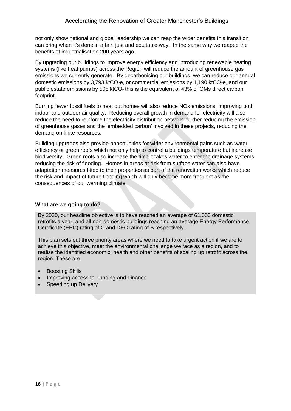not only show national and global leadership we can reap the wider benefits this transition can bring when it's done in a fair, just and equitable way. In the same way we reaped the benefits of industrialisation 200 years ago.

By upgrading our buildings to improve energy efficiency and introducing renewable heating systems (like heat pumps) across the Region will reduce the amount of greenhouse gas emissions we currently generate. By decarbonising our buildings, we can reduce our annual domestic emissions by 3,793 ktCO<sub>2</sub>e, or commercial emissions by 1,190 ktCO<sub>2</sub>e, and our public estate emissions by 505 ktCO<sub>2</sub> this is the equivalent of 43% of GMs direct carbon footprint.

Burning fewer fossil fuels to heat out homes will also reduce NOx emissions, improving both indoor and outdoor air quality. Reducing overall growth in demand for electricity will also reduce the need to reinforce the electricity distribution network, further reducing the emission of greenhouse gases and the 'embedded carbon' involved in these projects, reducing the demand on finite resources.

Building upgrades also provide opportunities for wider environmental gains such as water efficiency or green roofs which not only help to control a buildings temperature but increase biodiversity. Green roofs also increase the time it takes water to enter the drainage systems reducing the risk of flooding. Homes in areas at risk from surface water can also have adaptation measures fitted to their properties as part of the renovation works which reduce the risk and impact of future flooding which will only become more frequent as the consequences of our warming climate.

#### **What are we going to do?**

By 2030, our headline objective is to have reached an average of 61,000 domestic retrofits a year, and all non-domestic buildings reaching an average Energy Performance Certificate (EPC) rating of C and DEC rating of B respectively.

This plan sets out three priority areas where we need to take urgent action if we are to achieve this objective, meet the environmental challenge we face as a region, and to realise the identified economic, health and other benefits of scaling up retrofit across the region. These are:

- Boosting Skills
- Improving access to Funding and Finance
- Speeding up Delivery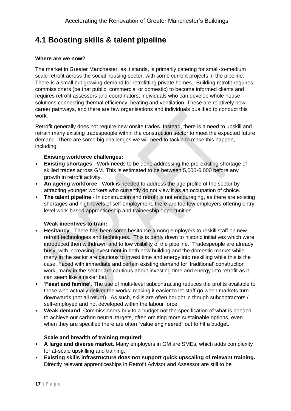## <span id="page-16-0"></span>**4.1 Boosting skills & talent pipeline**

#### **Where are we now?**

The market in Greater Manchester, as it stands, is primarily catering for small-to-medium scale retrofit across the social housing sector, with some current projects in the pipeline. There is a small but growing demand for retrofitting private homes. Building retrofit requires commissioners (be that public, commercial or domestic) to become informed clients and requires retrofit assessors and coordinators; individuals who can develop whole house solutions connecting thermal efficiency, heating and ventilation. These are relatively new career pathways, and there are few organisations and individuals qualified to conduct this work.

Retrofit generally does not require new onsite trades. Instead, there is a need to upskill and retrain many existing tradespeople within the construction sector to meet the expected future demand. There are some big challenges we will need to tackle to make this happen, including:

#### **Existing workforce challenges:**

- **Existing shortages** Work needs to be done addressing the pre-existing shortage of skilled trades across GM. This is estimated to be between 5,000-6,000 before any growth in retrofit activity.
- **An ageing workforce** Work is needed to address the age profile of the sector by attracting younger workers who currently do not view it as an occupation of choice.
- **The talent pipeline** In construction and retrofit is not encouraging, as there are existing shortages and high levels of self-employment, there are too few employers offering entry level work-based apprenticeship and traineeship opportunities.

#### **Weak incentives to train:**

- **Hesitancy**  There has been some hesitance among employers to reskill staff on new retrofit technologies and techniques. This is partly down to historic initiatives which were introduced then withdrawn and to low visibility of the pipeline. Tradespeople are already busy, with increasing investment in both new building and the domestic market while many in the sector are cautious to invest time and energy into reskilling while this is the case. Faced with immediate and certain existing demand for 'traditional' construction work, many in the sector are cautious about investing time and energy into retrofit as it can seem like a riskier bet.
- '**Feast and famine'**. The use of multi-level subcontracting reduces the profits available to those who actually deliver the works; making it easier to let staff go when markets turn downwards (not all return). As such, skills are often bought in though subcontractors / self-employed and not developed within the labour force.
- **Weak demand**. Commissioners buy to a budget not the specification of what is needed to achieve our carbon neutral targets, often omitting more sustainable options, even when they are specified there are often "value engineered" out to hit a budget.

#### **Scale and breadth of training required:**

- **A large and diverse market.** Many employers in GM are SMEs, which adds complexity for at-scale upskilling and training.
- **Existing skills infrastructure does not support quick upscaling of relevant training.** Directly relevant apprenticeships in Retrofit Advisor and Assessor are still to be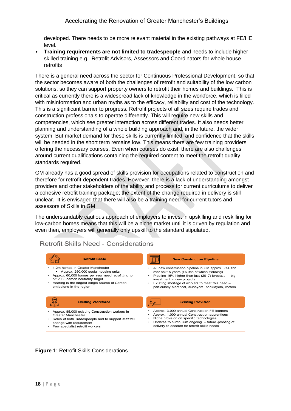developed. There needs to be more relevant material in the existing pathways at FE/HE level.

• **Training requirements are not limited to tradespeople** and needs to include higher skilled training e.g. Retrofit Advisors, Assessors and Coordinators for whole house retrofits

There is a general need across the sector for Continuous Professional Development, so that the sector becomes aware of both the challenges of retrofit and suitability of the low carbon solutions, so they can support property owners to retrofit their homes and buildings. This is critical as currently there is a widespread lack of knowledge in the workforce, which is filled with misinformation and urban myths as to the efficacy, reliability and cost of the technology. This is a significant barrier to progress. Retrofit projects of all sizes require trades and construction professionals to operate differently. This will require new skills and competencies, which see greater interaction across different trades. It also needs better planning and understanding of a whole building approach and, in the future, the wider system. But market demand for these skills is currently limited, and confidence that the skills will be needed in the short term remains low. This means there are few training providers offering the necessary courses. Even when courses do exist, there are also challenges around current qualifications containing the required content to meet the retrofit quality standards required.

GM already has a good spread of skills provision for occupations related to construction and therefore for retrofit-dependent trades. However, there is a lack of understanding amongst providers and other stakeholders of the ability and process for current curriculums to deliver a cohesive retrofit training package; the extent of the change required in delivery is still unclear. It is envisaged that there will also be a training need for current tutors and assessors of Skills in GM.

The understandably cautious approach of employers to invest in upskilling and reskilling for low-carbon homes means that this will be a niche market until it is driven by regulation and even then, employers will generally only upskill to the standard stipulated.

| <b>Retrofit Scale</b>                                | <b>New Construction Pipeline</b>                         |
|------------------------------------------------------|----------------------------------------------------------|
| 1.2m homes in Greater Manchester                     | All new construction pipeline in GM approx. £14.1bn      |
| Approx. 250,000 social housing units                 | over next 5 years (£6.9bn of which Housing)              |
| Approx. 60,000 homes per year need retrofitting to   | Pipeline 16% higher than last (2017) forecast $-$ big    |
| hit 2038 carbon neutrality target                    | investment in new projects                               |
| Heating is the largest single source of Carbon       | Existing shortage of workers to meet this need -         |
| emissions in the region                              | particularly electrical, surveyors, bricklayers, roofers |
| <b>Existing Workforce</b>                            | <b>Existing Provision</b>                                |
| Approx. 85,000 existing Construction workers in      | Approx. 3,000 annual Construction FE learners            |
| Greater Manchester                                   | Approx. 1,000 annual Construction apprentices            |
| Roles of both Tradespeople and to support staff will | Niche provision on specific technologies                 |
| change with requirement                              | Updates to curriculum ongoing - future-proofing of       |
| Few specialist retrofit workers                      | delivery to account for retrofit skills needs            |

### Retrofit Skills Need - Considerations

#### **Figure 1**: Retrofit Skills Considerations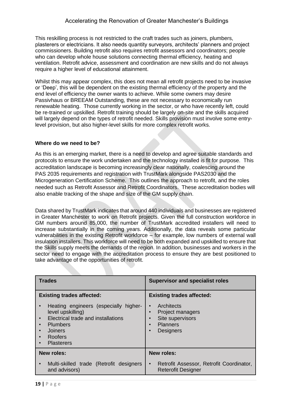This reskilling process is not restricted to the craft trades such as joiners, plumbers, plasterers or electricians. It also needs uantity surveyors, architects' planners and project commissioners. Building retrofit also requires retrofit assessors and coordinators; people who can develop whole house solutions connecting thermal efficiency, heating and ventilation. Retrofit advice, assessment and coordination are new skills and do not always require a higher level of educational attainment.

Whilst this may appear complex, this does not mean all retrofit projects need to be invasive or 'Deep', this will be dependent on the existing thermal efficiency of the property and the end level of efficiency the owner wants to achieve. While some owners may desire Passivhaus or BREEAM Outstanding, these are not necessary to economically run renewable heating. Those currently working in the sector, or who have recently left, could be re-trained or upskilled. Retrofit training should be largely on-site and the skills acquired will largely depend on the types of retrofit needed. Skills provision must involve some entrylevel provision, but also higher-level skills for more complex retrofit works.

#### **Where do we need to be?**

As this is an emerging market, there is a need to develop and agree suitable standards and protocols to ensure the work undertaken and the technology installed is fit for purpose. This accreditation landscape is becoming increasingly clear nationally, coalescing around the PAS 2035 requirements and registration with TrustMark alongside PAS2030 and the Microgeneration Certification Scheme. This outlines the approach to retrofit, and the roles needed such as Retrofit Assessor and Retrofit Coordinators. These accreditation bodies will also enable tracking of the shape and size of the GM supply chain.

Data shared by TrustMark indicates that around 440 individuals and businesses are registered in Greater Manchester to work on Retrofit projects. Given the full construction workforce in GM numbers around 85,000, the number of TrustMark accredited installers will need to increase substantially in the coming years. Additionally, the data reveals some particular vulnerabilities in the existing Retrofit workforce – for example, low numbers of external wall insulation installers. This workforce will need to be both expanded and upskilled to ensure that the Skills supply meets the demands of the region. In addition, businesses and workers in the sector need to engage with the accreditation process to ensure they are best positioned to take advantage of the opportunities of retrofit.

| <b>Trades</b>                                                                                                                                                                            | <b>Supervisor and specialist roles</b>                                                    |  |
|------------------------------------------------------------------------------------------------------------------------------------------------------------------------------------------|-------------------------------------------------------------------------------------------|--|
| <b>Existing trades affected:</b>                                                                                                                                                         | <b>Existing trades affected:</b>                                                          |  |
| Heating engineers (especially higher-<br>level upskilling)<br>Electrical trade and installations<br>$\bullet$<br>Plumbers<br><b>Joiners</b><br>Roofers<br>$\bullet$<br><b>Plasterers</b> | Architects<br>Project managers<br>Site supervisors<br><b>Planners</b><br><b>Designers</b> |  |
| <b>New roles:</b>                                                                                                                                                                        | <b>New roles:</b>                                                                         |  |
| Multi-skilled trade (Retrofit designers<br>$\bullet$<br>and advisors)                                                                                                                    | Retrofit Assessor, Retrofit Coordinator,<br>$\bullet$<br><b>Reterofit Designer</b>        |  |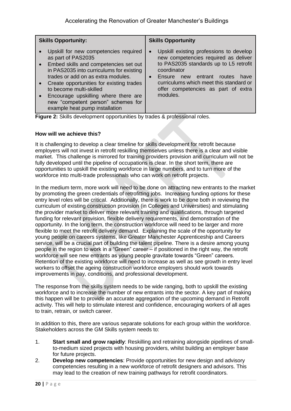| <b>Skills Opportunity:</b>                                                                                                                                                                                                                                                                                                                                                        | <b>Skills Opportunity</b>                                                                                                                                                                                                                                                                         |  |
|-----------------------------------------------------------------------------------------------------------------------------------------------------------------------------------------------------------------------------------------------------------------------------------------------------------------------------------------------------------------------------------|---------------------------------------------------------------------------------------------------------------------------------------------------------------------------------------------------------------------------------------------------------------------------------------------------|--|
| Upskill for new competencies required<br>as part of PAS2035<br>• Embed skills and competencies set out<br>in PAS2035 into curriculums for existing<br>trades or add on as extra modules.<br>• Create opportunities for existing trades<br>to become multi-skilled<br>Encourage upskilling where there are<br>new "competent person" schemes for<br>example heat pump installation | Upskill existing professions to develop<br>$\bullet$<br>new competencies required as deliver<br>to PAS2035 standards up to L5 retrofit<br>coordinator<br>Ensure<br>entrant<br>new<br>routes<br>have<br>curriculums which meet this standard or<br>offer competencies as part of extra<br>modules. |  |

**Figure 2:** Skills development opportunities by trades & professional roles.

#### **How will we achieve this?**

It is challenging to develop a clear timeline for skills development for retrofit because employers will not invest in retrofit reskilling themselves unless there is a clear and visible market. This challenge is mirrored for training providers provision and curriculum will not be fully developed until the pipeline of occupations is clear. In the short term, there are opportunities to upskill the existing workforce in large numbers, and to turn more of the workforce into multi-trade professionals who can work on retrofit projects.

In the medium term, more work will need to be done on attracting new entrants to the market by promoting the green credentials of retrofitting jobs. Increasing funding options for these entry level roles will be critical. Additionally, there is work to be done both in reviewing the curriculum of existing construction provision (in Colleges and Universities) and stimulating the provider market to deliver more relevant training and qualifications, through targeted funding for relevant provision, flexible delivery requirements, and demonstration of the opportunity. In the long term, the construction workforce will need to be larger and more flexible to meet the retrofit delivery demand. Explaining the scale of the opportunity for young people on careers systems, like Greater Manchester Apprenticeship and Careers service, will be a crucial part of building the talent pipeline. There is a desire among young people in the region to work in a "Green" career – if positioned in the right way, the retrofit workforce will see new entrants as young people gravitate towards "Green" careers. Retention of the existing workforce will need to increase as well as see growth in entry level workers to offset the ageing construction workforce employers should work towards improvements in pay, conditions, and professional development.

The response from the skills system needs to be wide ranging, both to upskill the existing workforce and to increase the number of new entrants into the sector. A key part of making this happen will be to provide an accurate aggregation of the upcoming demand in Retrofit activity. This will help to stimulate interest and confidence, encouraging workers of all ages to train, retrain, or switch career.

In addition to this, there are various separate solutions for each group within the workforce. Stakeholders across the GM Skills system needs to:

- 1. **Start small and grow rapidly**: Reskilling and retraining alongside pipelines of smallto-medium sized projects with housing providers, whilst building an employer base for future projects.
- 2. **Develop new competencies**: Provide opportunities for new design and advisory competencies resulting in a new workforce of retrofit designers and advisors. This may lead to the creation of new training pathways for retrofit coordinators.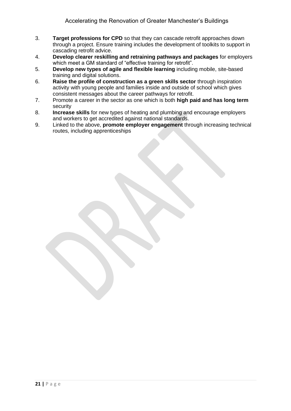- 3. **Target professions for CPD** so that they can cascade retrofit approaches down through a project. Ensure training includes the development of toolkits to support in cascading retrofit advice.
- 4. **Develop clearer reskilling and retraining pathways and packages** for employers which meet a GM standard of "effective training for retrofit".
- 5. **Develop new types of agile and flexible learning** including mobile, site-based training and digital solutions.
- 6. **Raise the profile of construction as a green skills sector** through inspiration activity with young people and families inside and outside of school which gives consistent messages about the career pathways for retrofit.
- 7. Promote a career in the sector as one which is both **high paid and has long term**  security
- 8. **Increase skills** for new types of heating and plumbing and encourage employers and workers to get accredited against national standards.
- 9. Linked to the above, **promote employer engagement** through increasing technical routes, including apprenticeships

**21 |** P a g e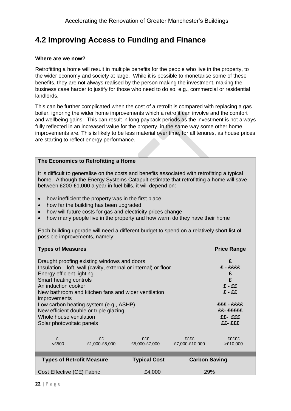## <span id="page-21-0"></span>**4.2 Improving Access to Funding and Finance**

#### **Where are we now?**

Retrofitting a home will result in multiple benefits for the people who live in the property, to the wider economy and society at large. While it is possible to monetarise some of these benefits, they are not always realised by the person making the investment, making the business case harder to justify for those who need to do so, e.g., commercial or residential landlords.

This can be further complicated when the cost of a retrofit is compared with replacing a gas boiler, ignoring the wider home improvements which a retrofit can involve and the comfort and wellbeing gains. This can result in long payback periods as the investment is not always fully reflected in an increased value for the property, in the same way some other home improvements are. This is likely to be less material over time, for all tenures, as house prices are starting to reflect energy performance.

#### **The Economics to Retrofitting a Home**

It is difficult to generalise on the costs and benefits associated with retrofitting a typical home. Although the Energy Systems Catapult estimate that retrofitting a home will save between £200-£1,000 a year in fuel bills, it will depend on:

- how inefficient the property was in the first place
- how far the building has been upgraded
- how will future costs for gas and electricity prices change
- how many people live in the property and how warm do they have their home

Each building upgrade will need a different budget to spend on a relatively short list of possible improvements, namely:

| <b>Types of Measures</b>                                                                                                                                                                                                                                                                                             | <b>Price Range</b>                                            |  |  |  |
|----------------------------------------------------------------------------------------------------------------------------------------------------------------------------------------------------------------------------------------------------------------------------------------------------------------------|---------------------------------------------------------------|--|--|--|
| Draught proofing existing windows and doors<br>Insulation – loft, wall (cavity, external or internal) or floor<br>Energy efficient lighting<br>Smart heating controls<br>An induction cooker<br>New bathroom and kitchen fans and wider ventilation<br><i>improvements</i><br>Low carbon heating system (e.g., ASHP) | £<br>£ - ££££<br>£<br>£<br>$E - EE$<br>$E - EE$<br>EEE - EEEE |  |  |  |
| New efficient double or triple glazing<br>Whole house ventilation<br>Solar photovoltaic panels                                                                                                                                                                                                                       | EE- EEEEE<br>££- £££<br>££- £££                               |  |  |  |
|                                                                                                                                                                                                                                                                                                                      |                                                               |  |  |  |
| £<br>$<$ £500                                                                                                                                                                                                                                                                                                        | fffff<br>>E10,000                                             |  |  |  |
| <b>Types of Retrofit Measure</b>                                                                                                                                                                                                                                                                                     | <b>Carbon Saving</b>                                          |  |  |  |
| <b>Typical Cost</b>                                                                                                                                                                                                                                                                                                  |                                                               |  |  |  |
| Cost Effective (CE) Fabric<br><b>29%</b><br>£4,000                                                                                                                                                                                                                                                                   |                                                               |  |  |  |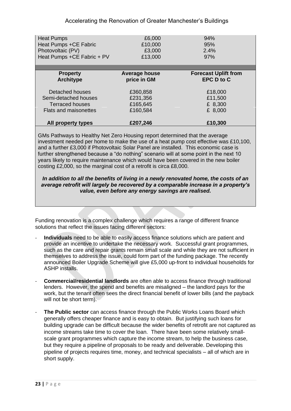#### Accelerating the Renovation of Greater Manchester's Buildings

| <b>Heat Pumps</b>            | £6,000               | 94%                         |
|------------------------------|----------------------|-----------------------------|
| Heat Pumps +CE Fabric        | £10,000              | 95%                         |
| Photovoltaic (PV)            | £3,000               | 2.4%                        |
| Heat Pumps +CE Fabric + PV   | £13,000              | 97%                         |
| <b>Property</b>              | <b>Average house</b> | <b>Forecast Uplift from</b> |
| <b>Architype</b>             | price in GM          | <b>EPC D to C</b>           |
| Detached houses              | £360,858             | £18,000                     |
| Semi-detached houses         | £231,356             | £11,500                     |
| <b>Terraced houses</b>       | £165,645             | £ 8,300                     |
| <b>Flats and maisonettes</b> | £160,584             | £ 8,000                     |
| <b>All property types</b>    | £207,246             | £10,300                     |

GMs Pathways to Healthy Net Zero Housing report determined that the average investment needed per home to make the use of a heat pump cost effective was £10,100, and a further £3,000 if Photovoltaic Solar Panel are installed. This economic case is further strengthened because a "do nothing" scenario will at some point in the next 10 years likely to require maintenance which would have been covered in the new boiler costing £2,000, so the marginal cost of a retrofit is circa £8,000.

#### *In addition to all the benefits of living in a newly renovated home, the costs of an average retrofit will largely be recovered by a comparable increase in a property's value, even before any energy savings are realised.*

Funding renovation is a complex challenge which requires a range of different finance solutions that reflect the issues facing different sectors:

- **Individuals** need to be able to easily access finance solutions which are patient and provide an incentive to undertake the necessary work. Successful grant programmes, such as the care and repair grants remain small scale and while they are not sufficient in themselves to address the issue, could form part of the funding package. The recently announced Boiler Upgrade Scheme will give £5,000 up-front to individual households for ASHP installs.
- **Commercial/residential landlords** are often able to access finance through traditional lenders. However, the spend and benefits are misaligned – the landlord pays for the work, but the tenant often sees the direct financial benefit of lower bills (and the payback will not be short term).
- The Public sector can access finance through the Public Works Loans Board which generally offers cheaper finance and is easy to obtain. But justifying such loans for building upgrade can be difficult because the wider benefits of retrofit are not captured as income streams take time to cover the loan. There have been some relatively smallscale grant programmes which capture the income stream, to help the business case, but they require a pipeline of proposals to be ready and deliverable. Developing this pipeline of projects requires time, money, and technical specialists – all of which are in short supply.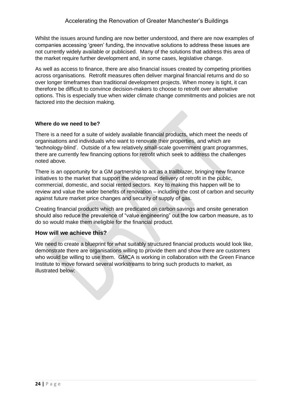Whilst the issues around funding are now better understood, and there are now examples of companies accessing 'green' funding, the innovative solutions to address these issues are not currently widely available or publicised. Many of the solutions that address this area of the market require further development and, in some cases, legislative change.

As well as access to finance, there are also financial issues created by competing priorities across organisations. Retrofit measures often deliver marginal financial returns and do so over longer timeframes than traditional development projects. When money is tight, it can therefore be difficult to convince decision-makers to choose to retrofit over alternative options. This is especially true when wider climate change commitments and policies are not factored into the decision making.

#### **Where do we need to be?**

There is a need for a suite of widely available financial products, which meet the needs of organisations and individuals who want to renovate their properties, and which are 'technology-blind'. Outside of a few relatively small-scale government grant programmes, there are currently few financing options for retrofit which seek to address the challenges noted above.

There is an opportunity for a GM partnership to act as a trailblazer, bringing new finance initiatives to the market that support the widespread delivery of retrofit in the public, commercial, domestic, and social rented sectors. Key to making this happen will be to review and value the wider benefits of renovation – including the cost of carbon and security against future market price changes and security of supply of gas.

Creating financial products which are predicated on carbon savings and onsite generation should also reduce the prevalence of "value engineering" out the low carbon measure, as to do so would make them ineligible for the financial product.

#### **How will we achieve this?**

We need to create a blueprint for what suitably structured financial products would look like, demonstrate there are organisations willing to provide them and show there are customers who would be willing to use them. GMCA is working in collaboration with the Green Finance Institute to move forward several workstreams to bring such products to market, as illustrated below: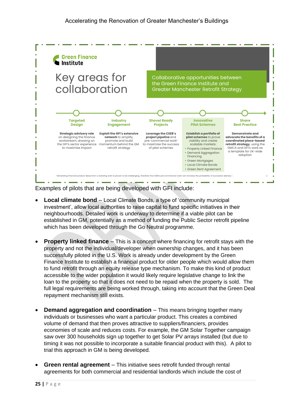

Examples of pilots that are being developed with GFI include:

- **Local climate bond** Local Climate Bonds, a type of 'community municipal investment', allow local authorities to raise capital to fund specific initiatives in their neighbourhoods. Detailed work is underway to determine if a viable pilot can be established in GM, potentially as a method of funding the Public Sector retrofit pipeline which has been developed through the Go Neutral programme.
- **Property linked finance** This is a concept where financing for retrofit stays with the property and not the individual/developer when ownership changes, and it has been successfully piloted in the U.S. Work is already under development by the Green Finance Institute to establish a financial product for older people which would allow them to fund retrofit through an equity release type mechanism. To make this kind of product accessible to the wider population it would likely require legislative change to link the loan to the property so that it does not need to be repaid when the property is sold. The full legal requirements are being worked through, taking into account that the Green Deal repayment mechanism still exists.
- **Demand aggregation and coordination** This means bringing together many individuals or businesses who want a particular product. This creates a combined volume of demand that then proves attractive to suppliers/financiers, provides economies of scale and reduces costs. For example, the GM Solar Together campaign saw over 300 households sign up together to get Solar PV arrays installed (but due to timing it was not possible to incorporate a suitable financial product with this). A pilot to trial this approach in GM is being developed.
- **Green rental agreement** This initiative sees retrofit funded through rental agreements for both commercial and residential landlords which include the cost of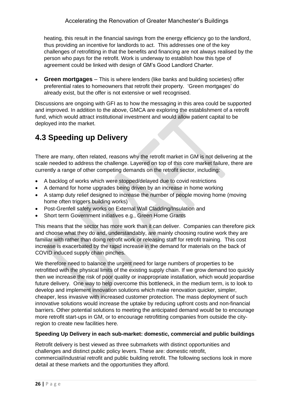heating, this result in the financial savings from the energy efficiency go to the landlord, thus providing an incentive for landlords to act. This addresses one of the key challenges of retrofitting in that the benefits and financing are not always realised by the person who pays for the retrofit. Work is underway to establish how this type of agreement could be linked with design of GM's Good Landlord Charter.

• **Green mortgages** – This is where lenders (like banks and building societies) offer preferential rates to homeowners that retrofit their property. 'Green mortgages' do already exist, but the offer is not extensive or well recognised.

Discussions are ongoing with GFI as to how the messaging in this area could be supported and improved. In addition to the above, GMCA are exploring the establishment of a retrofit fund, which would attract institutional investment and would allow patient capital to be deployed into the market.

## <span id="page-25-0"></span>**4.3 Speeding up Delivery**

There are many, often related, reasons why the retrofit market in GM is not delivering at the scale needed to address the challenge. Layered on top of this core market failure, there are currently a range of other competing demands on the retrofit sector, including:

- A backlog of works which were stopped/delayed due to covid restrictions
- A demand for home upgrades being driven by an increase in home working
- A stamp duty relief designed to increase the number of people moving home (moving home often triggers building works)
- Post-Grenfell safety works on External Wall Cladding/Insulation and
- Short term Government initiatives e.g., Green Home Grants

This means that the sector has more work than it can deliver. Companies can therefore pick and choose what they do and, understandably, are mainly choosing routine work they are familiar with rather than doing retrofit work or releasing staff for retrofit training. This cost increase is exacerbated by the rapid increase in the demand for materials on the back of COVID induced supply chain pinches.

We therefore need to balance the urgent need for large numbers of properties to be retrofitted with the physical limits of the existing supply chain. If we grow demand too quickly then we increase the risk of poor quality or inappropriate installation, which would jeopardise future delivery. One way to help overcome this bottleneck, in the medium term, is to look to develop and implement innovation solutions which make renovation quicker, simpler, cheaper, less invasive with increased customer protection. The mass deployment of such innovative solutions would increase the uptake by reducing upfront costs and non-financial barriers. Other potential solutions to meeting the anticipated demand would be to encourage more retrofit start-ups in GM, or to encourage retrofitting companies from outside the cityregion to create new facilities here.

#### **Speeding Up Delivery in each sub-market: domestic, commercial and public buildings**

Retrofit delivery is best viewed as three submarkets with distinct opportunities and challenges and distinct public policy levers. These are: domestic retrofit, commercial/industrial retrofit and public building retrofit. The following sections look in more detail at these markets and the opportunities they afford.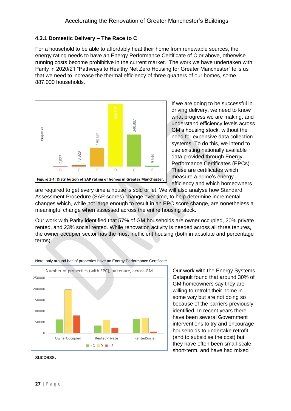#### **4.3.1 Domestic Delivery – The Race to C**

For a household to be able to affordably heat their home from renewable sources, the energy rating needs to have an Energy Performance Certificate of C or above, otherwise running costs become prohibitive in the current market. The work we have undertaken with Parity in 2020/21 "Pathways to Healthy Net Zero Housing for Greater Manchester" tells us that we need to increase the thermal efficiency of three quarters of our homes, some 887,000 households.



If we are going to be successful in driving delivery, we need to know what progress we are making, and understand efficiency levels across GM's housing stock, without the need for expensive data collection systems. To do this, we intend to use existing nationally available data provided through Energy Performance Certificates (EPCs). These are certificates which measure a home's energy efficiency and which homeowners

are required to get every time a house is sold or let. We will also analyse how Standard Assessment Procedure (SAP scores) change over time, to help determine incremental changes which, while not large enough to result in an EPC score change, are nonetheless a meaningful change when assessed across the entire housing stock.

Our work with Parity identified that 57% of GM households are owner occupied, 20% private rented, and 23% social rented. While renovation activity is needed across all three tenures, the owner occupier sector has the most inefficient housing (both in absolute and percentage terms).



Note: only around half of properties have an Energy Performance Certificate

Our work with the Energy Systems Catapult found that around 30% of GM homeowners say they are willing to retrofit their home in some way but are not doing so because of the barriers previously identified. In recent years there have been several Government interventions to try and encourage households to undertake retrofit (and to subsidise the cost) but they have often been small-scale, short-term, and have had mixed

success.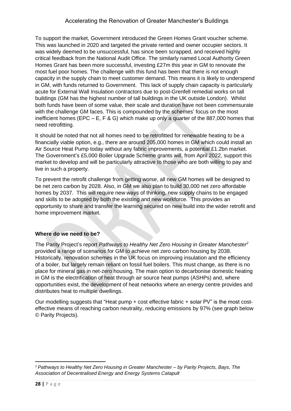#### Accelerating the Renovation of Greater Manchester's Buildings

To support the market, Government introduced the Green Homes Grant voucher scheme. This was launched in 2020 and targeted the private rented and owner occupier sectors. It was widely deemed to be unsuccessful, has since been scrapped, and received highly critical feedback from the National Audit Office. The similarly named Local Authority Green Homes Grant has been more successful, investing £27m this year in GM to renovate the most fuel poor homes. The challenge with this fund has been that there is not enough capacity in the supply chain to meet customer demand. This means it is likely to underspend in GM, with funds returned to Government. This lack of supply chain capacity is particularly acute for External Wall Insulation contractors due to post-Grenfell remedial works on tall buildings (GM has the highest number of tall buildings in the UK outside London). Whilst both funds have been of some value, their scale and duration have not been commensurate with the challenge GM faces. This is compounded by the schemes' focus on the most inefficient homes (EPC – E, F & G) which make up only a quarter of the 887,000 homes that need retrofitting.

It should be noted that not all homes need to be retrofitted for renewable heating to be a financially viable option, e.g., there are around 205,000 homes in GM which could install an Air Source Heat Pump today without any fabric improvements, a potential £1.2bn market. The Government's £5,000 Boiler Upgrade Scheme grants will, from April 2022, support this market to develop and will be particularly attractive to those who are both willing to pay and live in such a property.

To prevent the retrofit challenge from getting worse, all new GM homes will be designed to be net zero carbon by 2028. Also, in GM we also plan to build 30,000 net zero affordable homes by 2037. This will require new ways of thinking, new supply chains to be engaged and skills to be adopted by both the existing and new workforce. This provides an opportunity to share and transfer the learning secured on new build into the wider retrofit and home improvement market.

#### **Where do we need to be?**

The Parity Project's report *Pathways to Healthy Net Zero Housing in Greater Manchester<sup>2</sup>* provided a range of scenarios for GM to achieve net zero carbon housing by 2038. Historically, renovation schemes in the UK focus on improving insulation and the efficiency of a boiler, but largely remain reliant on fossil fuel boilers. This must change, as there is no place for mineral gas in net-zero housing. The main option to decarbonise domestic heating in GM is the electrification of heat through air source heat pumps (ASHPs) and, where opportunities exist, the development of heat networks where an energy centre provides and distributes heat to multiple dwellings.

Our modelling suggests that "Heat pump + cost effective fabric + solar PV" is the most costeffective means of reaching carbon neutrality, reducing emissions by 97% (see graph below © Parity Projects).

<sup>2</sup> *Pathways to Healthy Net Zero Housing in Greater Manchester – by Parity Projects, Bays, The Association of Decentralised Energy and Energy Systems Catapult*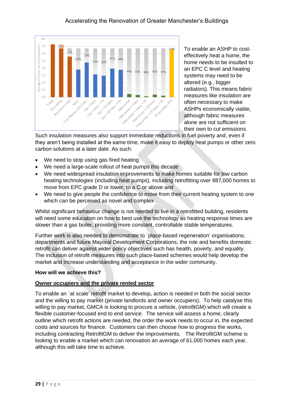

To enable an ASHP to costeffectively heat a home, the home needs to be insulted to an EPC C level and heating systems may need to be altered (e.g., bigger radiators). This means fabric measures like insulation are often necessary to make ASHPs economically viable, although fabric measures alone are not sufficient on their own to cut emissions.

Such insulation measures also support immediate reductions in fuel poverty and, even if they aren't being installed at the same time, make it easy to deploy heat pumps or other zero carbon solutions at a later date. As such:

- We need to stop using gas fired heating
- We need a large-scale rollout of heat pumps this decade
- We need widespread insulation improvements to make homes suitable for low carbon heating technologies (including heat pumps), including retrofitting over 887,000 homes to move from EPC grade D or lower, to a C or above and
- We need to give people the confidence to move from their current heating system to one which can be perceived as novel and complex

Whilst significant behaviour change is not needed to live in a retrofitted building, residents will need some education on how to best use the technology as heating response times are slower than a gas boiler, providing more constant, controllable stable temperatures.

Further work is also needed to demonstrate to `place-based regeneration' organisations, departments and future Mayoral Development Corporations, the role and benefits domestic retrofit can deliver against wider policy objectives such has health, poverty, and equality. The inclusion of retrofit measures into such place-based schemes would help develop the market and increase understanding and acceptance in the wider community.

#### **How will we achieve this?**

#### **Owner occupiers and the private rented sector**

To enable an `at scale' retrofit market to develop, action is needed in both the social sector and the willing to pay market (private landlords and owner occupiers). To help catalyse this willing to pay market, GMCA is looking to procure a vehicle, (retrofitGM) which will create a flexible customer-focused end to end service. The service will assess a home, clearly outline which retrofit actions are needed, the order the work needs to occur in, the expected costs and sources for finance. Customers can then choose how to progress the works, including contracting RetrofitGM to deliver the improvements. The RetrofitGM scheme is looking to enable a market which can renovation an average of 61,000 homes each year, although this will take time to achieve.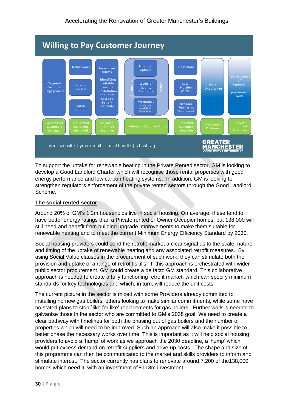

To support the uptake for renewable heating in the Private Rented sector, GM is looking to develop a Good Landlord Charter which will recognise those rental properties with good energy performance and low carbon heating systems. In addition, GM is looking to strengthen regulators enforcement of the private rented sectors through the Good Landlord Scheme.

#### **The social rented sector**

Around 20% of GM's 1.2m households live in social housing. On average, these tend to have better energy ratings than a Private rented or Owner Occupier homes, but 138,000 will still need and benefit from building upgrade improvements to make them suitable for renewable heating and to meet the current Minimum Energy Efficiency Standard by 2030.

Social housing providers could send the retrofit market a clear signal as to the scale, nature, and timing of the uptake of renewable heating and any associated retrofit measures. By using Social Value clauses in the procurement of such work, they can stimulate both the provision and uptake of a range of retrofit skills. If this approach is orchestrated with wider public sector procurement, GM could create a de facto GM standard. This collaborative approach is needed to create a fully functioning retrofit market, which can specify minimum standards for key technologies and which, in turn, will reduce the unit costs.

The current picture in the sector is mixed with some Providers already committed to installing no new gas boilers, others looking to make similar commitments, while some have no stated plans to stop `like for like' replacements for gas boilers. Further work is needed to galvanise those in the sector who are committed to GM's 2038 goal. We need to create a clear pathway with timelines for both the phasing out of gas boilers and the number of properties which will need to be improved. Such an approach will also make it possible to better phase the necessary works over time. This is important as it will help social housing providers to avoid a 'hump' of work as we approach the 2030 deadline, a 'hump' which would put excess demand on retrofit suppliers and drive-up costs. The shape and size of this programme can then be communicated to the market and skills providers to inform and stimulate interest. The sector currently has plans to renovate around 7,200 of the138,000 homes which need it, with an investment of £118m investment.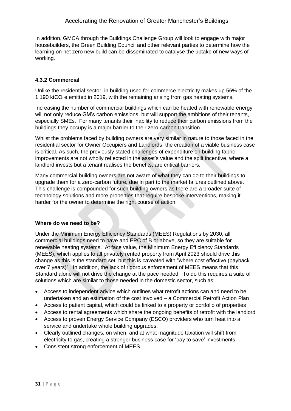In addition, GMCA through the Buildings Challenge Group will look to engage with major housebuilders, the Green Building Council and other relevant parties to determine how the learning on net zero new build can be disseminated to catalyse the uptake of new ways of working.

#### **4.3.2 Commercial**

Unlike the residential sector, in building used for commerce electricity makes up 56% of the 1,190 ktCO<sub>2</sub>e emitted in 2019, with the remaining arising from gas heating systems.

Increasing the number of commercial buildings which can be heated with renewable energy will not only reduce GM's carbon emissions, but will support the ambitions of their tenants, especially SMEs. For many tenants their inability to reduce their carbon emissions from the buildings they occupy is a major barrier to their zero-carbon transition.

Whilst the problems faced by building owners are very similar in nature to those faced in the residential sector for Owner Occupiers and Landlords, the creation of a viable business case is critical. As such, the previously stated challenges of expenditure on building fabric improvements are not wholly reflected in the asset's value and the spilt incentive, where a landlord invests but a tenant realises the benefits, are critical barriers.

Many commercial building owners are not aware of what they can do to their buildings to upgrade them for a zero-carbon future, due in part to the market failures outlined above. This challenge is compounded for such building owners as there are a broader suite of technology solutions and more properties that require bespoke interventions, making it harder for the owner to determine the right course of action.

#### **Where do we need to be?**

Under the Minimum Energy Efficiency Standards (MEES) Regulations by 2030, all commercial buildings need to have and EPC of B or above, so they are suitable for renewable heating systems. At face value, the Minimum Energy Efficiency Standards (MEES), which applies to all privately rented property from April 2023 should drive this change as this is the standard set, but this is caveated with "where cost effective (payback over 7 years)". In addition, the lack of rigorous enforcement of MEES means that this Standard alone will not drive the change at the pace needed. To do this requires a suite of solutions which are similar to those needed in the domestic sector, such as:

- Access to independent advice which outlines what retrofit actions can and need to be undertaken and an estimation of the cost involved – a Commercial Retrofit Action Plan
- Access to patient capital, which could be linked to a property or portfolio of properties
- Access to rental agreements which share the ongoing benefits of retrofit with the landlord
- Access to proven Energy Service Company (ESCO) providers who turn heat into a service and undertake whole building upgrades.
- Clearly outlined changes, on when, and at what magnitude taxation will shift from electricity to gas, creating a stronger business case for 'pay to save' investments.
- Consistent strong enforcement of MEES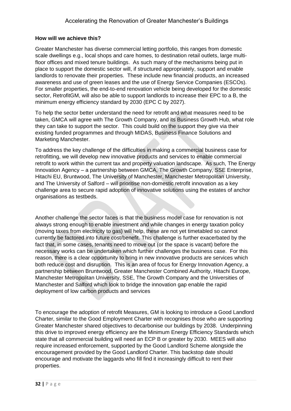#### **How will we achieve this?**

Greater Manchester has diverse commercial letting portfolio, this ranges from domestic scale dwellings e.g., local shops and care homes, to destination retail outlets, large multifloor offices and mixed tenure buildings. As such many of the mechanisms being put in place to support the domestic sector will, if structured appropriately, support and enable landlords to renovate their properties. These include new financial products, an increased awareness and use of green leases and the use of Energy Service Companies (ESCOs). For smaller properties, the end-to-end renovation vehicle being developed for the domestic sector, RetrofitGM, will also be able to support landlords to increase their EPC to a B, the minimum energy efficiency standard by 2030 (EPC C by 2027).

To help the sector better understand the need for retrofit and what measures need to be taken, GMCA will agree with The Growth Company, and its Business Growth Hub, what role they can take to support the sector. This could build on the support they give via their existing funded programmes and through MIDAS, Business Finance Solutions and Marketing Manchester.

To address the key challenge of the difficulties in making a commercial business case for retrofitting, we will develop new innovative products and services to enable commercial retrofit to work within the current tax and property valuation landscape. As such, The Energy Innovation Agency – a partnership between GMCA, The Growth Company, SSE Enterprise, Hitachi EU, Bruntwood, The University of Manchester, Manchester Metropolitan University, and The University of Salford – will prioritise non-domestic retrofit innovation as a key challenge area to secure rapid adoption of innovative solutions using the estates of anchor organisations as testbeds.

Another challenge the sector faces is that the business model case for renovation is not always strong enough to enable investment and while changes in energy taxation policy (moving taxes from electricity to gas) will help, these are not yet timetabled so cannot currently be factored into future cost/benefit. This challenge is further exacerbated by the fact that, in some cases, tenants need to move out (or the space is vacant) before the necessary works can be undertaken which further challenges the business case. For this reason, there is a clear opportunity to bring in new innovative products are services which both reduce cost and disruption. This is an area of focus for Energy Innovation Agency, a partnership between Bruntwood, Greater Manchester Combined Authority, Hitachi Europe, Manchester Metropolitan University, SSE, The Growth Company and the Universities of Manchester and Salford which look to bridge the innovation gap enable the rapid deployment of low carbon products and services

To encourage the adoption of retrofit Measures, GM is looking to introduce a Good Landlord Charter, similar to the Good Employment Charter with recognises those who are supporting Greater Manchester shared objectives to decarbonise our buildings by 2038. Underpinning this drive to improved energy efficiency are the Minimum Energy Efficiency Standards which state that all commercial building will need an ECP B or greater by 2030. MEES will also require increased enforcement, supported by the Good Landlord Scheme alongside the encouragement provided by the Good Landlord Charter. This backstop date should encourage and motivate the laggards who fill find it increasingly difficult to rent their properties.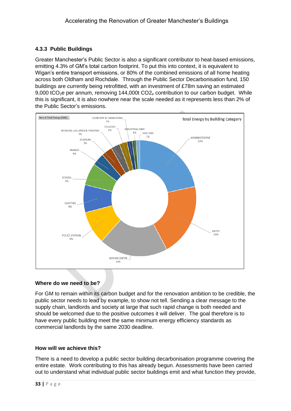#### **4.3.3 Public Buildings**

Greater Manchester's Public Sector is also a significant contributor to heat-based emissions, emitting 4.3% of GM's total carbon footprint. To put this into context, it is equivalent to Wigan's entire transport emissions, or 80% of the combined emissions of all home heating across both Oldham and Rochdale. Through the Public Sector Decarbonisation fund, 150 buildings are currently being retrofitted, with an investment of £78m saving an estimated 9,000 tCO<sub>2</sub>e per annum, removing 144,000t CO<sub>2e</sub> contribution to our carbon budget. While this is significant, it is also nowhere near the scale needed as it represents less than 2% of the Public Sector's emissions.



#### **Where do we need to be?**

For GM to remain within its carbon budget and for the renovation ambition to be credible, the public sector needs to lead by example, to show not tell. Sending a clear message to the supply chain, landlords and society at large that such rapid change is both needed and should be welcomed due to the positive outcomes it will deliver. The goal therefore is to have every public building meet the same minimum energy efficiency standards as commercial landlords by the same 2030 deadline.

#### **How will we achieve this?**

There is a need to develop a public sector building decarbonisation programme covering the entire estate. Work contributing to this has already begun. Assessments have been carried out to understand what individual public sector buildings emit and what function they provide,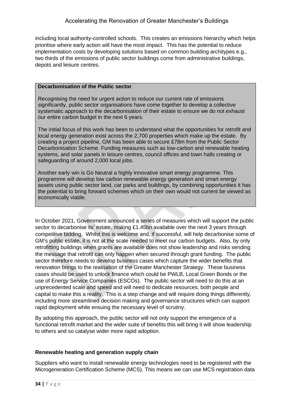including local authority-controlled schools. This creates an emissions hierarchy which helps prioritise where early action will have the most impact. This has the potential to reduce implementation costs by developing solutions based on common building architypes e.g., two thirds of the emissions of public sector buildings come from administrative buildings, depots and leisure centres.

#### **Decarbonisation of the Public sector**

Recognising the need for urgent action to reduce our current rate of emissions significantly, public sector organisations have come together to develop a collective systematic approach to the decarbonisation of their estate to ensure we do not exhaust our entire carbon budget in the next 6 years.

The initial focus of this work has been to understand what the opportunities for retrofit and local energy generation exist across the 2,700 properties which make up the estate. By creating a project pipeline, GM has been able to secure £78m from the Public Sector Decarbonisation Scheme. Funding measures such as low-carbon and renewable heating systems, and solar panels in leisure centres, council offices and town halls creating or safeguarding of around 2,000 local jobs.

Another early win is Go Neutral a highly innovative smart energy programme. This programme will develop low carbon renewable energy generation and smart energy assets using public sector land, car parks and buildings, by combining opportunities it has the potential to bring forward schemes which on their own would not current be viewed as economically viable.

In October 2021, Government announced a series of measures which will support the public sector to decarbonise its' estate, making £1.45bn available over the next 3 years through competitive bidding. Whilst this is welcome and, if successful, will help decarbonise some of GM's public estate, it is not at the scale needed to meet our carbon budgets. Also, by only retrofitting buildings when grants are available does not show leadership and risks sending the message that retrofit can only happen when secured through grant funding. The public sector therefore needs to develop business cases which capture the wider benefits that renovation brings to the realisation of the Greater Manchester Strategy. These business cases should be used to unlock finance which could be PWLB, Local Green Bonds or the use of Energy Service Companies (ESCOs). The public sector will need to do this at an unprecedented scale and speed and will need to dedicate resources, both people and capital to make this a reality. This is a step change and will require doing things differently, including more streamlined decision making and governance structures which can support rapid deployment while ensuing the necessary level of scrutiny.

By adopting this approach, the public sector will not only support the emergence of a functional retrofit market and the wider suite of benefits this will bring it will show leadership to others and so catalyse wider more rapid adoption.

#### **Renewable heating and generation supply chain**

Suppliers who want to install renewable energy technologies need to be registered with the Microgeneration Certification Scheme (MCS). This means we can use MCS registration data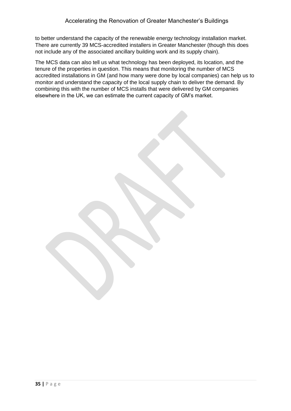to better understand the capacity of the renewable energy technology installation market. There are currently 39 MCS-accredited installers in Greater Manchester (though this does not include any of the associated ancillary building work and its supply chain).

The MCS data can also tell us what technology has been deployed, its location, and the tenure of the properties in question. This means that monitoring the number of MCS accredited installations in GM (and how many were done by local companies) can help us to monitor and understand the capacity of the local supply chain to deliver the demand. By combining this with the number of MCS installs that were delivered by GM companies elsewhere in the UK, we can estimate the current capacity of GM's market.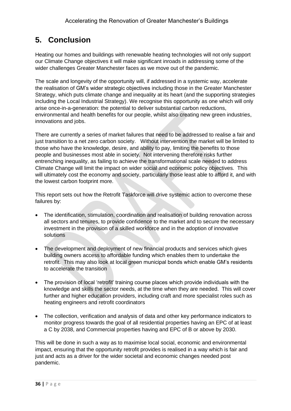## <span id="page-35-0"></span>**5. Conclusion**

Heating our homes and buildings with renewable heating technologies will not only support our Climate Change objectives it will make significant inroads in addressing some of the wider challenges Greater Manchester faces as we move out of the pandemic.

The scale and longevity of the opportunity will, if addressed in a systemic way, accelerate the realisation of GM's wider strategic objectives including those in the Greater Manchester Strategy, which puts climate change and inequality at its heart (and the supporting strategies including the Local Industrial Strategy). We recognise this opportunity as one which will only arise once-in-a-generation: the potential to deliver substantial carbon reductions, environmental and health benefits for our people, whilst also creating new green industries, innovations and jobs.

There are currently a series of market failures that need to be addressed to realise a fair and just transition to a net zero carbon society. Without intervention the market will be limited to those who have the knowledge, desire, and ability to pay, limiting the benefits to those people and businesses most able in society. Not intervening therefore risks further entrenching inequality, as failing to achieve the transformational scale needed to address Climate Change will limit the impact on wider social and economic policy objectives. This will ultimately cost the economy and society, particularly those least able to afford it, and with the lowest carbon footprint more.

This report sets out how the Retrofit Taskforce will drive systemic action to overcome these failures by:

- The identification, stimulation, coordination and realisation of building renovation across all sectors and tenures, to provide confidence to the market and to secure the necessary investment in the provision of a skilled workforce and in the adoption of innovative solutions
- The development and deployment of new financial products and services which gives building owners access to affordable funding which enables them to undertake the retrofit. This may also look at local green municipal bonds which enable GM's residents to accelerate the transition
- The provision of local 'retrofit' training course places which provide individuals with the knowledge and skills the sector needs, at the time when they are needed. This will cover further and higher education providers, including craft and more specialist roles such as heating engineers and retrofit coordinators
- The collection, verification and analysis of data and other key performance indicators to monitor progress towards the goal of all residential properties having an EPC of at least a C by 2038, and Commercial properties having and EPC of B or above by 2030.

This will be done in such a way as to maximise local social, economic and environmental impact, ensuring that the opportunity retrofit provides is realised in a way which is fair and just and acts as a driver for the wider societal and economic changes needed post pandemic.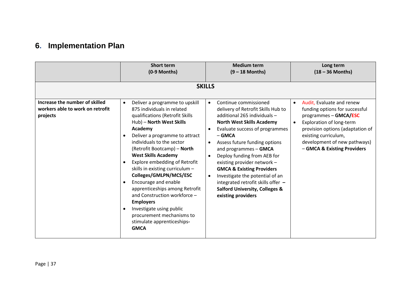## **6. Implementation Plan**

<span id="page-36-0"></span>

|                                                                                | <b>Short term</b><br>(0-9 Months)                                                                                                                                                                                                                                                                                                                                                                                                                                                                        | <b>Medium term</b><br>$(9 - 18$ Months)                                                                                                                                                                                                                                                                                                                                                                                                                                                                                                                        | Long term<br>$(18 - 36$ Months)                                                                                                                                                                                                                          |
|--------------------------------------------------------------------------------|----------------------------------------------------------------------------------------------------------------------------------------------------------------------------------------------------------------------------------------------------------------------------------------------------------------------------------------------------------------------------------------------------------------------------------------------------------------------------------------------------------|----------------------------------------------------------------------------------------------------------------------------------------------------------------------------------------------------------------------------------------------------------------------------------------------------------------------------------------------------------------------------------------------------------------------------------------------------------------------------------------------------------------------------------------------------------------|----------------------------------------------------------------------------------------------------------------------------------------------------------------------------------------------------------------------------------------------------------|
| Increase the number of skilled<br>workers able to work on retrofit<br>projects | Deliver a programme to upskill<br>$\bullet$<br>875 individuals in related<br>qualifications (Retrofit Skills<br>Hub) - North West Skills<br>Academy<br>Deliver a programme to attract<br>$\bullet$<br>individuals to the sector<br>(Retrofit Bootcamp) - North<br><b>West Skills Academy</b><br>Explore embedding of Retrofit<br>skills in existing curriculum -<br>Colleges/GMLPN/MCS/ESC<br>Encourage and enable<br>apprenticeships among Retrofit<br>and Construction workforce -<br><b>Employers</b> | <b>SKILLS</b><br>Continue commissioned<br>$\bullet$<br>delivery of Retrofit Skills Hub to<br>additional 265 individuals -<br><b>North West Skills Academy</b><br>Evaluate success of programmes<br>$-$ GMCA<br>Assess future funding options<br>$\bullet$<br>and programmes - GMCA<br>Deploy funding from AEB for<br>$\bullet$<br>existing provider network -<br><b>GMCA &amp; Existing Providers</b><br>Investigate the potential of an<br>$\bullet$<br>integrated retrofit skills offer -<br><b>Salford University, Colleges &amp;</b><br>existing providers | Audit, Evaluate and renew<br>$\bullet$<br>funding options for successful<br>programmes - GMCA/ESC<br>Exploration of long-term<br>provision options (adaptation of<br>existing curriculum,<br>development of new pathways)<br>- GMCA & Existing Providers |
|                                                                                | Investigate using public<br>$\bullet$<br>procurement mechanisms to<br>stimulate apprenticeships-<br><b>GMCA</b>                                                                                                                                                                                                                                                                                                                                                                                          |                                                                                                                                                                                                                                                                                                                                                                                                                                                                                                                                                                |                                                                                                                                                                                                                                                          |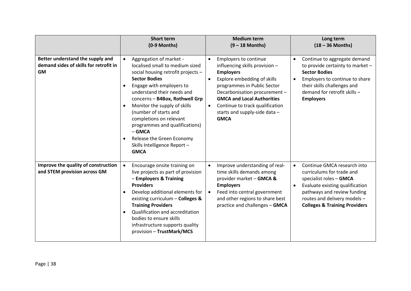|                                                                                         | <b>Short term</b><br>(0-9 Months)                                                                                                                                                                                                                                                                                                                                                                                                                           | <b>Medium term</b><br>$(9 - 18$ Months)                                                                                                                                                                                                                                                                                                   | Long term<br>$(18 - 36$ Months)                                                                                                                                                                                                                             |
|-----------------------------------------------------------------------------------------|-------------------------------------------------------------------------------------------------------------------------------------------------------------------------------------------------------------------------------------------------------------------------------------------------------------------------------------------------------------------------------------------------------------------------------------------------------------|-------------------------------------------------------------------------------------------------------------------------------------------------------------------------------------------------------------------------------------------------------------------------------------------------------------------------------------------|-------------------------------------------------------------------------------------------------------------------------------------------------------------------------------------------------------------------------------------------------------------|
| Better understand the supply and<br>demand sides of skills for retrofit in<br><b>GM</b> | Aggregation of market -<br>localised small to medium sized<br>social housing retrofit projects -<br><b>Sector Bodies</b><br>Engage with employers to<br>$\bullet$<br>understand their needs and<br>concerns - B4Box, Rothwell Grp<br>Monitor the supply of skills<br>(number of starts and<br>completions on relevant<br>programmes and qualifications)<br>$-$ GMCA<br>Release the Green Economy<br>$\bullet$<br>Skills Intelligence Report-<br><b>GMCA</b> | Employers to continue<br>$\bullet$<br>influencing skills provision -<br><b>Employers</b><br>Explore embedding of skills<br>$\bullet$<br>programmes in Public Sector<br>Decarbonisation procurement -<br><b>GMCA and Local Authorities</b><br>Continue to track qualification<br>$\bullet$<br>starts and supply-side data -<br><b>GMCA</b> | Continue to aggregate demand<br>$\bullet$<br>to provide certainty to market -<br><b>Sector Bodies</b><br>Employers to continue to share<br>their skills challenges and<br>demand for retrofit skills -<br><b>Employers</b>                                  |
| Improve the quality of construction<br>and STEM provision across GM                     | Encourage onsite training on<br>live projects as part of provision<br>- Employers & Training<br><b>Providers</b><br>Develop additional elements for<br>existing curriculum - Colleges &<br><b>Training Providers</b><br>Qualification and accreditation<br>$\bullet$<br>bodies to ensure skills<br>infrastructure supports quality<br>provision - TrustMark/MCS                                                                                             | Improve understanding of real-<br>$\bullet$<br>time skills demands among<br>provider market - GMCA &<br><b>Employers</b><br>Feed into central government<br>$\bullet$<br>and other regions to share best<br>practice and challenges - GMCA                                                                                                | Continue GMCA research into<br>$\bullet$<br>curriculums for trade and<br>specialist roles - GMCA<br>Evaluate existing qualification<br>$\bullet$<br>pathways and review funding<br>routes and delivery models -<br><b>Colleges &amp; Training Providers</b> |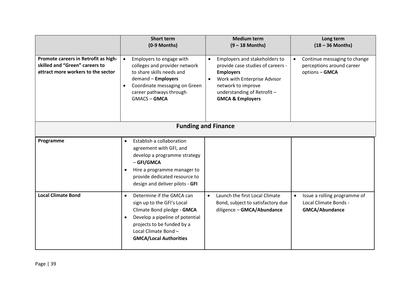|                                                                                                              | <b>Short term</b><br>(0-9 Months)                                                                                                                                                                                           | <b>Medium term</b><br>$(9 - 18$ Months)                                                                                                                                                                                             | Long term<br>$(18 - 36$ Months)                                                             |
|--------------------------------------------------------------------------------------------------------------|-----------------------------------------------------------------------------------------------------------------------------------------------------------------------------------------------------------------------------|-------------------------------------------------------------------------------------------------------------------------------------------------------------------------------------------------------------------------------------|---------------------------------------------------------------------------------------------|
| Promote careers in Retrofit as high-<br>skilled and "Green" careers to<br>attract more workers to the sector | Employers to engage with<br>$\bullet$<br>colleges and provider network<br>to share skills needs and<br>demand - Employers<br>Coordinate messaging on Green<br>$\bullet$<br>career pathways through<br><b>GMACS-GMCA</b>     | Employers and stakeholders to<br>$\bullet$<br>provide case studies of careers -<br><b>Employers</b><br>Work with Enterprise Advisor<br>$\bullet$<br>network to improve<br>understanding of Retrofit-<br><b>GMCA &amp; Employers</b> | Continue messaging to change<br>$\bullet$<br>perceptions around career<br>options - GMCA    |
|                                                                                                              |                                                                                                                                                                                                                             | <b>Funding and Finance</b>                                                                                                                                                                                                          |                                                                                             |
| Programme                                                                                                    | Establish a collaboration<br>agreement with GFI, and<br>develop a programme strategy<br>- GFI/GMCA<br>Hire a programme manager to<br>provide dedicated resource to<br>design and deliver pilots - GFI                       |                                                                                                                                                                                                                                     |                                                                                             |
| <b>Local Climate Bond</b>                                                                                    | Determine if the GMCA can<br>sign up to the GFI's Local<br>Climate Bond pledge - GMCA<br>Develop a pipeline of potential<br>$\bullet$<br>projects to be funded by a<br>Local Climate Bond-<br><b>GMCA/Local Authorities</b> | Launch the first Local Climate<br>$\bullet$<br>Bond, subject to satisfactory due<br>diligence - GMCA/Abundance                                                                                                                      | Issue a rolling programme of<br>$\bullet$<br>Local Climate Bonds -<br><b>GMCA/Abundance</b> |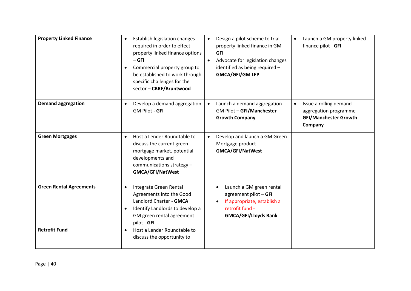| <b>Property Linked Finance</b>                         | Establish legislation changes<br>$\bullet$<br>required in order to effect<br>property linked finance options<br>$-$ GFI<br>Commercial property group to<br>$\bullet$<br>be established to work through<br>specific challenges for the<br>sector - CBRE/Bruntwood | Design a pilot scheme to trial<br>$\bullet$<br>property linked finance in GM -<br><b>GFI</b><br>Advocate for legislation changes<br>$\bullet$<br>identified as being required -<br><b>GMCA/GFI/GM LEP</b> | Launch a GM property linked<br>finance pilot - GFI                                                        |
|--------------------------------------------------------|------------------------------------------------------------------------------------------------------------------------------------------------------------------------------------------------------------------------------------------------------------------|-----------------------------------------------------------------------------------------------------------------------------------------------------------------------------------------------------------|-----------------------------------------------------------------------------------------------------------|
| <b>Demand aggregation</b>                              | Develop a demand aggregation<br><b>GM Pilot - GFI</b>                                                                                                                                                                                                            | Launch a demand aggregation<br>$\bullet$<br>GM Pilot - GFI/Manchester<br><b>Growth Company</b>                                                                                                            | Issue a rolling demand<br>$\bullet$<br>aggregation programme -<br><b>GFI/Manchester Growth</b><br>Company |
| <b>Green Mortgages</b>                                 | Host a Lender Roundtable to<br>$\bullet$<br>discuss the current green<br>mortgage market, potential<br>developments and<br>communications strategy -<br><b>GMCA/GFI/NatWest</b>                                                                                  | Develop and launch a GM Green<br>$\bullet$<br>Mortgage product -<br><b>GMCA/GFI/NatWest</b>                                                                                                               |                                                                                                           |
| <b>Green Rental Agreements</b><br><b>Retrofit Fund</b> | Integrate Green Rental<br>$\bullet$<br>Agreements into the Good<br>Landlord Charter - GMCA<br>Identify Landlords to develop a<br>$\bullet$<br>GM green rental agreement<br>pilot - GFI<br>Host a Lender Roundtable to                                            | Launch a GM green rental<br>agreement pilot - GFI<br>If appropriate, establish a<br>retrofit fund -<br><b>GMCA/GFI/Lloyds Bank</b>                                                                        |                                                                                                           |
|                                                        | discuss the opportunity to                                                                                                                                                                                                                                       |                                                                                                                                                                                                           |                                                                                                           |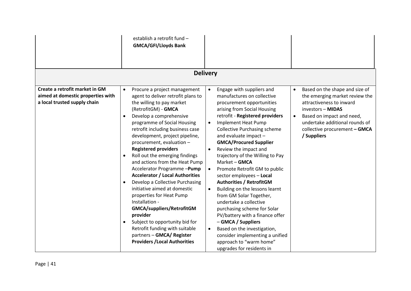|                                                                                                     | establish a retrofit fund -<br><b>GMCA/GFI/Lloyds Bank</b>                                                                                                                                                                                                                                                                                                                                                                                                                                                                                                                                                                                                                                                                                                                                                                         |                                                                                                                                                                                                                                                                                                                                                                                                                                                                                                                                                                                                                                                                                                                                                                                                                                                     |                                                                                                                                                                                                                                                            |
|-----------------------------------------------------------------------------------------------------|------------------------------------------------------------------------------------------------------------------------------------------------------------------------------------------------------------------------------------------------------------------------------------------------------------------------------------------------------------------------------------------------------------------------------------------------------------------------------------------------------------------------------------------------------------------------------------------------------------------------------------------------------------------------------------------------------------------------------------------------------------------------------------------------------------------------------------|-----------------------------------------------------------------------------------------------------------------------------------------------------------------------------------------------------------------------------------------------------------------------------------------------------------------------------------------------------------------------------------------------------------------------------------------------------------------------------------------------------------------------------------------------------------------------------------------------------------------------------------------------------------------------------------------------------------------------------------------------------------------------------------------------------------------------------------------------------|------------------------------------------------------------------------------------------------------------------------------------------------------------------------------------------------------------------------------------------------------------|
|                                                                                                     |                                                                                                                                                                                                                                                                                                                                                                                                                                                                                                                                                                                                                                                                                                                                                                                                                                    | <b>Delivery</b>                                                                                                                                                                                                                                                                                                                                                                                                                                                                                                                                                                                                                                                                                                                                                                                                                                     |                                                                                                                                                                                                                                                            |
| Create a retrofit market in GM<br>aimed at domestic properties with<br>a local trusted supply chain | Procure a project management<br>$\bullet$<br>agent to deliver retrofit plans to<br>the willing to pay market<br>(RetrofitGM) - GMCA<br>Develop a comprehensive<br>$\bullet$<br>programme of Social Housing<br>retrofit including business case<br>development, project pipeline,<br>procurement, evaluation -<br><b>Registered providers</b><br>Roll out the emerging findings<br>$\bullet$<br>and actions from the Heat Pump<br>Accelerator Programme-Pump<br><b>Accelerator / Local Authorities</b><br>Develop a Collective Purchasing<br>$\bullet$<br>initiative aimed at domestic<br>properties for Heat Pump<br>Installation -<br>GMCA/suppliers/RetrofitGM<br>provider<br>Subject to opportunity bid for<br>$\bullet$<br>Retrofit funding with suitable<br>partners - GMCA/ Register<br><b>Providers / Local Authorities</b> | Engage with suppliers and<br>$\bullet$<br>manufactures on collective<br>procurement opportunities<br>arising from Social Housing<br>retrofit - Registered providers<br>Implement Heat Pump<br>$\bullet$<br><b>Collective Purchasing scheme</b><br>and evaluate impact -<br><b>GMCA/Procured Supplier</b><br>Review the impact and<br>$\bullet$<br>trajectory of the Willing to Pay<br>Market - GMCA<br>Promote Retrofit GM to public<br>$\bullet$<br>sector employees - Local<br><b>Authorities / RetrofitGM</b><br>Building on the lessons learnt<br>$\bullet$<br>from GM Solar Together,<br>undertake a collective<br>purchasing scheme for Solar<br>PV/battery with a finance offer<br>- GMCA / Suppliers<br>Based on the investigation,<br>$\bullet$<br>consider implementing a unified<br>approach to "warm home"<br>upgrades for residents in | Based on the shape and size of<br>$\bullet$<br>the emerging market review the<br>attractiveness to inward<br>investors - MIDAS<br>Based on impact and need,<br>$\bullet$<br>undertake additional rounds of<br>collective procurement - GMCA<br>/ Suppliers |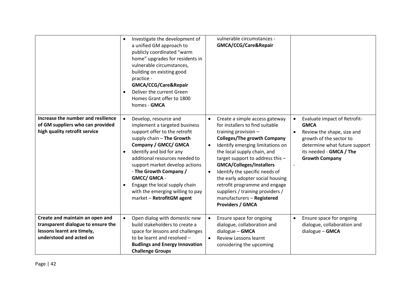|                                                                                                                                | Investigate the development of<br>$\bullet$<br>a unified GM approach to<br>publicly coordinated "warm<br>home" upgrades for residents in<br>vulnerable circumstances,<br>building on existing good<br>practice -<br>GMCA/CCG/Care&Repair<br>Deliver the current Green<br>$\bullet$<br>Homes Grant offer to 1800<br>homes - GMCA                                                                       | vulnerable circumstances -<br>GMCA/CCG/Care&Repair                                                                                                                                                                                                                                                                                                                                                                                                                                                                   |                                                                                                                                                                                           |
|--------------------------------------------------------------------------------------------------------------------------------|-------------------------------------------------------------------------------------------------------------------------------------------------------------------------------------------------------------------------------------------------------------------------------------------------------------------------------------------------------------------------------------------------------|----------------------------------------------------------------------------------------------------------------------------------------------------------------------------------------------------------------------------------------------------------------------------------------------------------------------------------------------------------------------------------------------------------------------------------------------------------------------------------------------------------------------|-------------------------------------------------------------------------------------------------------------------------------------------------------------------------------------------|
| Increase the number and resilience<br>of GM suppliers who can provided<br>high quality retrofit service                        | Develop, resource and<br>implement a targeted business<br>support offer to the retrofit<br>supply chain - The Growth<br>Company / GMCC/ GMCA<br>Identify and bid for any<br>$\bullet$<br>additional resources needed to<br>support market develop actions<br>- The Growth Company /<br>GMCC/ GMCA -<br>Engage the local supply chain<br>with the emerging willing to pay<br>market - RetrofitGM agent | Create a simple access gateway<br>$\bullet$<br>for installers to find suitable<br>training provision -<br><b>Colleges/The growth Company</b><br>Identify emerging limitations on<br>$\bullet$<br>the local supply chain, and<br>target support to address this -<br><b>GMCA/Colleges/Installers</b><br>Identify the specific needs of<br>$\bullet$<br>the early adopter social housing<br>retrofit programme and engage<br>suppliers / training providers /<br>manufacturers - Registered<br><b>Providers / GMCA</b> | Evaluate impact of Retrofit-<br><b>GMCA</b><br>Review the shape, size and<br>growth of the sector to<br>determine what future support<br>its needed - GMCA / The<br><b>Growth Company</b> |
| Create and maintain an open and<br>transparent dialogue to ensure the<br>lessons learnt are timely,<br>understood and acted on | Open dialog with domestic new<br>$\bullet$<br>build stakeholders to create a<br>space for lessons and challenges<br>to be learnt and resolved -<br><b>Budlings and Energy Innovation</b><br><b>Challenge Groups</b>                                                                                                                                                                                   | Ensure space for ongoing<br>$\bullet$<br>dialogue, collaboration and<br>$dialogue - GMCA$<br><b>Review Lessons learnt</b><br>$\bullet$<br>considering the upcoming                                                                                                                                                                                                                                                                                                                                                   | Ensure space for ongoing<br>$\bullet$<br>dialogue, collaboration and<br>dialogue - GMCA                                                                                                   |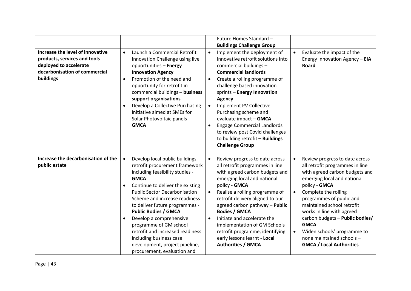|                                                                                                                                          |                                     |                                                                                                                                                                                                                                                                                                                                                                                                                                                                                       |                                                  | Future Homes Standard -<br><b>Buildings Challenge Group</b>                                                                                                                                                                                                                                                                                                                                                                                                    |                        |                                                                                                                                                                                                                                                                                                                                                                                                                     |
|------------------------------------------------------------------------------------------------------------------------------------------|-------------------------------------|---------------------------------------------------------------------------------------------------------------------------------------------------------------------------------------------------------------------------------------------------------------------------------------------------------------------------------------------------------------------------------------------------------------------------------------------------------------------------------------|--------------------------------------------------|----------------------------------------------------------------------------------------------------------------------------------------------------------------------------------------------------------------------------------------------------------------------------------------------------------------------------------------------------------------------------------------------------------------------------------------------------------------|------------------------|---------------------------------------------------------------------------------------------------------------------------------------------------------------------------------------------------------------------------------------------------------------------------------------------------------------------------------------------------------------------------------------------------------------------|
| Increase the level of innovative<br>products, services and tools<br>deployed to accelerate<br>decarbonisation of commercial<br>buildings | $\bullet$<br>$\bullet$<br>$\bullet$ | Launch a Commercial Retrofit<br>Innovation Challenge using live<br>opportunities - Energy<br><b>Innovation Agency</b><br>Promotion of the need and<br>opportunity for retrofit in<br>commercial buildings - business<br>support organisations<br>Develop a Collective Purchasing<br>initiative aimed at SMEs for<br>Solar Photovoltaic panels -<br><b>GMCA</b>                                                                                                                        | $\bullet$<br>$\bullet$<br>$\bullet$<br>$\bullet$ | Implement the deployment of<br>innovative retrofit solutions into<br>commercial buildings -<br><b>Commercial landlords</b><br>Create a rolling programme of<br>challenge based innovation<br>sprints - Energy Innovation<br>Agency<br><b>Implement PV Collective</b><br>Purchasing scheme and<br>evaluate impact - GMCA<br><b>Engage Commercial Landlords</b><br>to review post Covid challenges<br>to building retrofit - Buildings<br><b>Challenge Group</b> | $\bullet$              | Evaluate the impact of the<br>Energy Innovation Agency - EIA<br><b>Board</b>                                                                                                                                                                                                                                                                                                                                        |
| Increase the decarbonisation of the<br>public estate                                                                                     | $\bullet$<br>$\bullet$<br>$\bullet$ | Develop local public buildings<br>retrofit procurement framework<br>including feasibility studies -<br><b>GMCA</b><br>Continue to deliver the existing<br><b>Public Sector Decarbonisation</b><br>Scheme and increase readiness<br>to deliver future programmes -<br><b>Public Bodies / GMCA</b><br>Develop a comprehensive<br>programme of GM school<br>retrofit and increased readiness<br>including business case<br>development, project pipeline,<br>procurement, evaluation and | $\bullet$<br>$\bullet$<br>$\bullet$              | Review progress to date across<br>all retrofit programmes in line<br>with agreed carbon budgets and<br>emerging local and national<br>policy - GMCA<br>Realise a rolling programme of<br>retrofit delivery aligned to our<br>agreed carbon pathway - Public<br><b>Bodies / GMCA</b><br>Initiate and accelerate the<br>implementation of GM Schools<br>retrofit programme, identifying<br>early lessons learnt - Local<br><b>Authorities / GMCA</b>             | $\bullet$<br>$\bullet$ | Review progress to date across<br>all retrofit programmes in line<br>with agreed carbon budgets and<br>emerging local and national<br>policy - GMCA<br>Complete the rolling<br>programmes of public and<br>maintained school retrofit<br>works in line with agreed<br>carbon budgets - Public bodies/<br><b>GMCA</b><br>Widen schools' programme to<br>none maintained schools -<br><b>GMCA / Local Authorities</b> |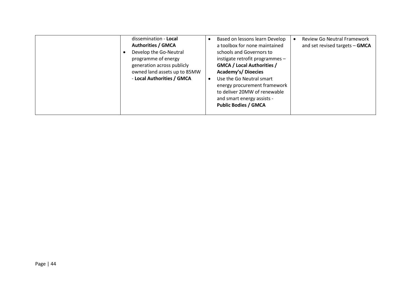| dissemination - Local<br><b>Authorities / GMCA</b><br>Develop the Go-Neutral<br>programme of energy<br>generation across publicly<br>owned land assets up to 85MW<br>- Local Authorities / GMCA | Based on lessons learn Develop<br>a toolbox for none maintained<br>schools and Governors to<br>instigate retrofit programmes -<br><b>GMCA / Local Authorities /</b><br><b>Academy's/ Dioecies</b><br>Use the Go Neutral smart<br>energy procurement framework<br>to deliver 20MW of renewable<br>and smart energy assists -<br><b>Public Bodies / GMCA</b> | <b>Review Go Neutral Framework</b><br>and set revised targets - GMCA |
|-------------------------------------------------------------------------------------------------------------------------------------------------------------------------------------------------|------------------------------------------------------------------------------------------------------------------------------------------------------------------------------------------------------------------------------------------------------------------------------------------------------------------------------------------------------------|----------------------------------------------------------------------|
|-------------------------------------------------------------------------------------------------------------------------------------------------------------------------------------------------|------------------------------------------------------------------------------------------------------------------------------------------------------------------------------------------------------------------------------------------------------------------------------------------------------------------------------------------------------------|----------------------------------------------------------------------|